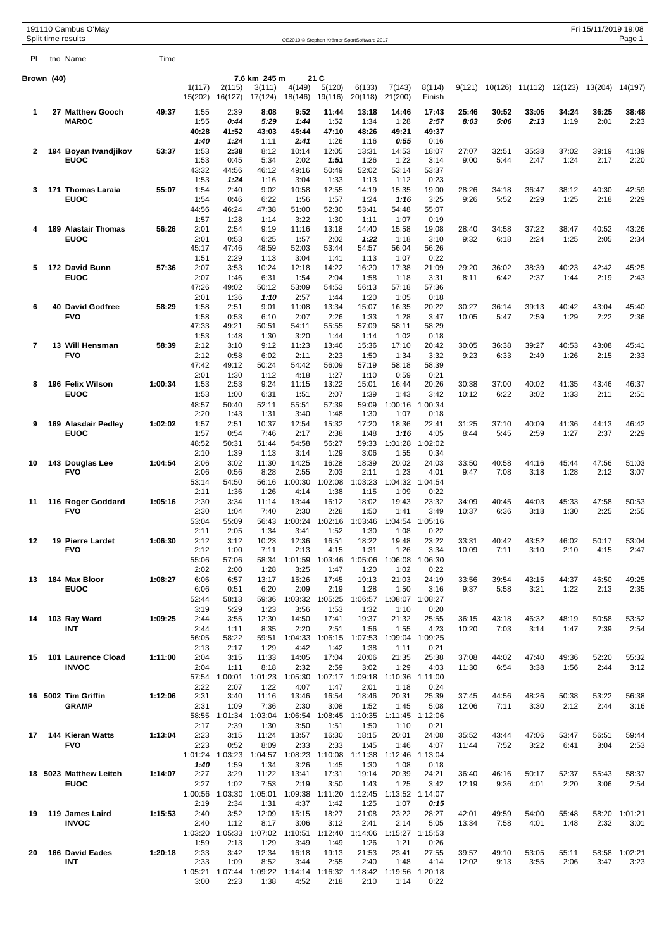|                | 191110 Cambus O'May<br>Split time results |         |                   |                   |                                   |                   |                           | OE2010 © Stephan Krämer SportSoftware 2017 |                   |                         |                |               |               |                                         | Fri 15/11/2019 19:08 | Page 1          |
|----------------|-------------------------------------------|---------|-------------------|-------------------|-----------------------------------|-------------------|---------------------------|--------------------------------------------|-------------------|-------------------------|----------------|---------------|---------------|-----------------------------------------|----------------------|-----------------|
| PI             | tho Name                                  | Time    |                   |                   |                                   |                   |                           |                                            |                   |                         |                |               |               |                                         |                      |                 |
|                |                                           |         |                   |                   |                                   |                   |                           |                                            |                   |                         |                |               |               |                                         |                      |                 |
| Brown (40)     |                                           |         | 1(117)<br>15(202) | 2(115)<br>16(127) | 7.6 km 245 m<br>3(111)<br>17(124) | 4(149)<br>18(146) | 21 C<br>5(120)<br>19(116) | 6(133)<br>20(118)                          | 7(143)<br>21(200) | 8(114)<br>Finish        | 9(121)         |               |               | 10(126) 11(112) 12(123) 13(204) 14(197) |                      |                 |
| 1              | 27 Matthew Gooch                          | 49:37   | 1:55              | 2:39              | 8:08                              | 9:52              | 11:44                     | 13:18                                      | 14:46             | 17:43                   | 25:46          | 30:52         | 33:05         | 34:24                                   | 36:25                | 38:48           |
|                | <b>MAROC</b>                              |         | 1:55<br>40:28     | 0:44<br>41:52     | 5:29<br>43:03                     | 1:44<br>45:44     | 1:52<br>47:10             | 1:34<br>48:26                              | 1:28<br>49:21     | 2:57<br>49:37           | 8:03           | 5:06          | 2:13          | 1:19                                    | 2:01                 | 2:23            |
| 2              | 194 Boyan Ivandjikov                      | 53:37   | 1:40<br>1:53      | 1:24<br>2:38      | 1:11<br>8:12                      | 2:41<br>10:14     | 1:26<br>12:05             | 1:16<br>13:31                              | 0:55<br>14:53     | 0:16<br>18:07           | 27:07          | 32:51         | 35:38         | 37:02                                   | 39:19                | 41:39           |
|                | <b>EUOC</b>                               |         | 1:53              | 0:45              | 5:34                              | 2:02              | 1:51                      | 1:26                                       | 1:22              | 3:14                    | 9:00           | 5:44          | 2:47          | 1:24                                    | 2:17                 | 2:20            |
|                |                                           |         | 43:32<br>1:53     | 44:56<br>1:24     | 46:12<br>1:16                     | 49:16<br>3:04     | 50:49<br>1:33             | 52:02<br>1:13                              | 53:14<br>1:12     | 53:37<br>0:23           |                |               |               |                                         |                      |                 |
| 3              | 171 Thomas Laraia                         | 55:07   | 1:54              | 2:40              | 9:02                              | 10:58             | 12:55                     | 14:19                                      | 15:35             | 19:00                   | 28:26          | 34:18         | 36:47         | 38:12                                   | 40:30                | 42:59           |
|                | <b>EUOC</b>                               |         | 1:54<br>44:56     | 0:46<br>46:24     | 6:22<br>47:38                     | 1:56<br>51:00     | 1:57<br>52:30             | 1:24<br>53:41                              | 1:16<br>54:48     | 3:25<br>55:07           | 9:26           | 5:52          | 2:29          | 1:25                                    | 2:18                 | 2:29            |
| 4              | 189 Alastair Thomas                       | 56:26   | 1:57<br>2:01      | 1:28<br>2:54      | 1:14<br>9:19                      | 3:22<br>11:16     | 1:30<br>13:18             | 1:11<br>14:40                              | 1:07<br>15:58     | 0:19<br>19:08           | 28:40          | 34:58         | 37:22         | 38:47                                   | 40:52                | 43:26           |
|                | <b>EUOC</b>                               |         | 2:01              | 0:53              | 6:25                              | 1:57              | 2:02                      | 1:22                                       | 1:18              | 3:10                    | 9:32           | 6:18          | 2:24          | 1:25                                    | 2:05                 | 2:34            |
|                |                                           |         | 45:17<br>1:51     | 47:46<br>2:29     | 48:59<br>1:13                     | 52:03<br>3:04     | 53:44<br>1:41             | 54:57<br>1:13                              | 56:04<br>1:07     | 56:26<br>0:22           |                |               |               |                                         |                      |                 |
| 5              | 172 David Bunn                            | 57:36   | 2:07              | 3:53              | 10:24                             | 12:18             | 14:22                     | 16:20                                      | 17:38             | 21:09                   | 29:20          | 36:02         | 38:39         | 40:23                                   | 42:42                | 45:25           |
|                | <b>EUOC</b>                               |         | 2:07<br>47:26     | 1:46<br>49:02     | 6:31<br>50:12                     | 1:54<br>53:09     | 2:04<br>54:53             | 1:58<br>56:13                              | 1:18<br>57:18     | 3:31<br>57:36           | 8:11           | 6:42          | 2:37          | 1:44                                    | 2:19                 | 2:43            |
| 6              | <b>40 David Godfree</b>                   | 58:29   | 2:01<br>1:58      | 1:36<br>2:51      | 1:10<br>9:01                      | 2:57<br>11:08     | 1:44<br>13:34             | 1:20<br>15:07                              | 1:05<br>16:35     | 0:18<br>20:22           | 30:27          | 36:14         | 39:13         | 40:42                                   | 43:04                | 45:40           |
|                | <b>FVO</b>                                |         | 1:58              | 0:53              | 6:10                              | 2:07              | 2:26                      | 1:33                                       | 1:28              | 3:47                    | 10:05          | 5:47          | 2:59          | 1:29                                    | 2:22                 | 2:36            |
|                |                                           |         | 47:33<br>1:53     | 49:21<br>1:48     | 50:51<br>1:30                     | 54:11<br>3:20     | 55:55<br>1:44             | 57:09<br>1:14                              | 58:11<br>1:02     | 58:29<br>0:18           |                |               |               |                                         |                      |                 |
| $\overline{7}$ | 13 Will Hensman                           | 58:39   | 2:12              | 3:10              | 9:12                              | 11:23             | 13:46                     | 15:36                                      | 17:10             | 20:42                   | 30:05          | 36:38         | 39:27         | 40:53                                   | 43:08                | 45:41           |
|                | <b>FVO</b>                                |         | 2:12<br>47:42     | 0:58<br>49:12     | 6:02<br>50:24                     | 2:11<br>54:42     | 2:23<br>56:09             | 1:50<br>57:19                              | 1:34<br>58:18     | 3:32<br>58:39           | 9:23           | 6:33          | 2:49          | 1:26                                    | 2:15                 | 2:33            |
| 8              | 196 Felix Wilson                          | 1:00:34 | 2:01<br>1:53      | 1:30<br>2:53      | 1:12<br>9:24                      | 4:18<br>11:15     | 1:27<br>13:22             | 1:10<br>15:01                              | 0:59<br>16:44     | 0:21<br>20:26           | 30:38          | 37:00         | 40:02         | 41:35                                   | 43:46                | 46:37           |
|                | <b>EUOC</b>                               |         | 1:53              | 1:00              | 6:31                              | 1:51              | 2:07                      | 1:39                                       | 1:43              | 3:42                    | 10:12          | 6:22          | 3:02          | 1:33                                    | 2:11                 | 2:51            |
|                |                                           |         | 48:57<br>2:20     | 50:40<br>1:43     | 52:11<br>1:31                     | 55:51<br>3:40     | 57:39<br>1:48             | 59:09<br>1:30                              | 1:00:16<br>1:07   | 1:00:34<br>0:18         |                |               |               |                                         |                      |                 |
| 9              | 169 Alasdair Pedley                       | 1:02:02 | 1:57              | 2:51              | 10:37                             | 12:54             | 15:32                     | 17:20                                      | 18:36             | 22:41                   | 31:25          | 37:10         | 40:09         | 41:36                                   | 44:13                | 46:42           |
|                | <b>EUOC</b>                               |         | 1:57<br>48:52     | 0:54<br>50:31     | 7:46<br>51:44                     | 2:17<br>54:58     | 2:38<br>56:27             | 1:48<br>59:33                              | 1:16<br>1:01:28   | 4:05<br>1:02:02         | 8:44           | 5:45          | 2:59          | 1:27                                    | 2:37                 | 2:29            |
|                |                                           |         | 2:10              | 1:39              | 1:13                              | 3:14              | 1:29                      | 3:06                                       | 1:55              | 0:34                    |                |               |               |                                         |                      |                 |
| 10             | 143 Douglas Lee<br><b>FVO</b>             | 1:04:54 | 2:06<br>2:06      | 3:02<br>0:56      | 11:30<br>8:28                     | 14:25<br>2:55     | 16:28<br>2:03             | 18:39<br>2:11                              | 20:02<br>1:23     | 24:03<br>4:01           | 33:50<br>9:47  | 40:58<br>7:08 | 44:16<br>3:18 | 45:44<br>1:28                           | 47:56<br>2:12        | 51:03<br>3:07   |
|                |                                           |         | 53:14<br>2:11     | 54:50<br>1:36     | 56:16<br>1:26                     | 1:00:30<br>4:14   | 1:02:08<br>1:38           | 1:03:23                                    | 1:09              | 1:04:32 1:04:54<br>0:22 |                |               |               |                                         |                      |                 |
| 11             | 116 Roger Goddard                         | 1:05:16 | 2:30              | 3:34              | 11:14                             | 13:44             | 16:12                     | 1:15<br>18:02                              | 19:43             | 23:32                   | 34:09          | 40:45         | 44:03         | 45:33                                   | 47:58                | 50:53           |
|                | <b>FVO</b>                                |         | 2:30<br>53:04     | 1:04<br>55:09     | 7:40<br>56:43                     | 2:30<br>1:00:24   | 2:28<br>1:02:16           | 1:50<br>1:03:46                            | 1:41              | 3:49<br>1:04:54 1:05:16 | 10:37          | 6:36          | 3:18          | 1:30                                    | 2:25                 | 2:55            |
|                |                                           |         | 2:11              | 2:05              | 1:34                              | 3:41              | 1:52                      | 1:30                                       | 1:08              | 0:22                    |                |               |               |                                         |                      |                 |
| 12             | 19 Pierre Lardet<br><b>FVO</b>            | 1:06:30 | 2:12<br>2:12      | 3:12<br>1:00      | 10:23<br>7:11                     | 12:36<br>2:13     | 16:51<br>4:15             | 18:22<br>1:31                              | 19:48<br>1:26     | 23:22<br>3:34           | 33:31<br>10:09 | 40:42<br>7:11 | 43:52<br>3:10 | 46:02<br>2:10                           | 50:17<br>4:15        | 53:04<br>2:47   |
|                |                                           |         | 55:06             | 57:06             | 58:34                             | 1:01:59           | 1:03:46                   | 1:05:06                                    | 1:06:08           | 1:06:30                 |                |               |               |                                         |                      |                 |
| 13             | 184 Max Bloor                             | 1:08:27 | 2:02<br>6:06      | 2:00<br>6:57      | 1:28<br>13:17                     | 3:25<br>15:26     | 1:47<br>17:45             | 1:20<br>19:13                              | 1:02<br>21:03     | 0:22<br>24:19           | 33:56          | 39:54         | 43:15         | 44:37                                   | 46:50                | 49:25           |
|                | <b>EUOC</b>                               |         | 6:06<br>52:44     | 0:51<br>58:13     | 6:20<br>59:36                     | 2:09<br>1:03:32   | 2:19<br>1:05:25           | 1:28<br>1:06:57                            | 1:50<br>1:08:07   | 3:16<br>1:08:27         | 9:37           | 5:58          | 3:21          | 1:22                                    | 2:13                 | 2:35            |
|                |                                           |         | 3:19              | 5:29              | 1:23                              | 3:56              | 1:53                      | 1:32                                       | 1:10              | 0:20                    |                |               |               |                                         |                      |                 |
| 14             | 103 Ray Ward<br><b>INT</b>                | 1:09:25 | 2:44<br>2:44      | 3:55<br>1:11      | 12:30<br>8:35                     | 14:50<br>2:20     | 17:41<br>2:51             | 19:37<br>1:56                              | 21:32<br>1:55     | 25:55<br>4:23           | 36:15<br>10:20 | 43:18<br>7:03 | 46:32<br>3:14 | 48:19<br>1:47                           | 50:58<br>2:39        | 53:52<br>2:54   |
|                |                                           |         | 56:05             | 58:22             | 59:51                             | 1:04:33           | 1:06:15                   | 1:07:53                                    |                   | 1:09:04 1:09:25         |                |               |               |                                         |                      |                 |
| 15             | 101 Laurence Cload                        | 1:11:00 | 2:13<br>2:04      | 2:17<br>3:15      | 1:29<br>11:33                     | 4:42<br>14:05     | 1:42<br>17:04             | 1:38<br>20:06                              | 1:11<br>21:35     | 0:21<br>25:38           | 37:08          | 44:02         | 47:40         | 49:36                                   | 52:20                | 55:32           |
|                | <b>INVOC</b>                              |         | 2:04<br>57:54     | 1:11<br>1:00:01   | 8:18<br>1:01:23                   | 2:32<br>1:05:30   | 2:59<br>1:07:17           | 3:02<br>1:09:18                            | 1:29<br>1:10:36   | 4:03<br>1:11:00         | 11:30          | 6:54          | 3:38          | 1:56                                    | 2:44                 | 3:12            |
|                |                                           |         | 2:22              | 2:07              | 1:22                              | 4:07              | 1:47                      | 2:01                                       | 1:18              | 0:24                    |                |               |               |                                         |                      |                 |
|                | 16 5002 Tim Griffin<br><b>GRAMP</b>       | 1:12:06 | 2:31<br>2:31      | 3:40<br>1:09      | 11:16<br>7:36                     | 13:46<br>2:30     | 16:54<br>3:08             | 18:46<br>1:52                              | 20:31<br>1:45     | 25:39<br>5:08           | 37:45<br>12:06 | 44:56<br>7:11 | 48:26<br>3:30 | 50:38<br>2:12                           | 53:22<br>2:44        | 56:38<br>3:16   |
|                |                                           |         | 58:55             | 1:01:34           | 1:03:04                           | 1:06:54           | 1:08:45                   | 1:10:35                                    | 1:11:45           | 1:12:06                 |                |               |               |                                         |                      |                 |
| 17             | 144 Kieran Watts                          | 1:13:04 | 2:17<br>2:23      | 2:39<br>3:15      | 1:30<br>11:24                     | 3:50<br>13:57     | 1:51<br>16:30             | 1:50<br>18:15                              | 1:10<br>20:01     | 0:21<br>24:08           | 35:52          | 43:44         | 47:06         | 53:47                                   | 56:51                | 59:44           |
|                | <b>FVO</b>                                |         | 2:23<br>1:01:24   | 0:52<br>1:03:23   | 8:09<br>1:04:57                   | 2:33<br>1:08:23   | 2:33<br>1:10:08           | 1:45<br>1:11:38                            | 1:46<br>1:12:46   | 4:07<br>1:13:04         | 11:44          | 7:52          | 3:22          | 6:41                                    | 3:04                 | 2:53            |
|                |                                           |         | 1:40              | 1:59              | 1:34                              | 3:26              | 1:45                      | 1:30                                       | 1:08              | 0:18                    |                |               |               |                                         |                      |                 |
| 18             | 5023 Matthew Leitch<br><b>EUOC</b>        | 1:14:07 | 2:27<br>2:27      | 3:29<br>1:02      | 11:22<br>7:53                     | 13:41<br>2:19     | 17:31<br>3:50             | 19:14<br>1:43                              | 20:39<br>1:25     | 24:21<br>3:42           | 36:40<br>12:19 | 46:16<br>9:36 | 50:17<br>4:01 | 52:37<br>2:20                           | 55:43<br>3:06        | 58:37<br>2:54   |
|                |                                           |         | 1:00:56           | 1:03:30           | 1:05:01                           | 1:09:38           | 1:11:20                   | 1:12:45                                    | 1:13:52           | 1:14:07                 |                |               |               |                                         |                      |                 |
| 19             | 119 James Laird                           | 1:15:53 | 2:19<br>2:40      | 2:34<br>3:52      | 1:31<br>12:09                     | 4:37<br>15:15     | 1:42<br>18:27             | 1:25<br>21:08                              | 1:07<br>23:22     | 0:15<br>28:27           | 42:01          | 49:59         | 54:00         | 55:48                                   | 58:20                | 1:01:21         |
|                | <b>INVOC</b>                              |         | 2:40              | 1:12              | 8:17                              | 3:06              | 3:12                      | 2:41                                       | 2:14              | 5:05                    | 13:34          | 7:58          | 4:01          | 1:48                                    | 2:32                 | 3:01            |
|                |                                           |         | 1:03:20<br>1:59   | 1:05:33<br>2:13   | 1:07:02<br>1:29                   | 1:10:51<br>3:49   | 1:12:40<br>1:49           | 1:14:06<br>1:26                            | 1:21              | 1:15:27 1:15:53<br>0:26 |                |               |               |                                         |                      |                 |
| 20             | 166 David Eades<br>INT                    | 1:20:18 | 2:33<br>2:33      | 3:42<br>1:09      | 12:34<br>8:52                     | 16:18<br>3:44     | 19:13<br>2:55             | 21:53<br>2:40                              | 23:41<br>1:48     | 27:55<br>4:14           | 39:57<br>12:02 | 49:10<br>9:13 | 53:05<br>3:55 | 55:11<br>2:06                           | 58:58<br>3:47        | 1:02:21<br>3:23 |
|                |                                           |         | 1:05:21           | 1:07:44           | 1:09:22                           |                   | 1:14:14 1:16:32           | 1:18:42                                    | 1:19:56 1:20:18   |                         |                |               |               |                                         |                      |                 |
|                |                                           |         | 3:00              | 2:23              | 1:38                              | 4:52              | 2:18                      | 2:10                                       | 1:14              | 0:22                    |                |               |               |                                         |                      |                 |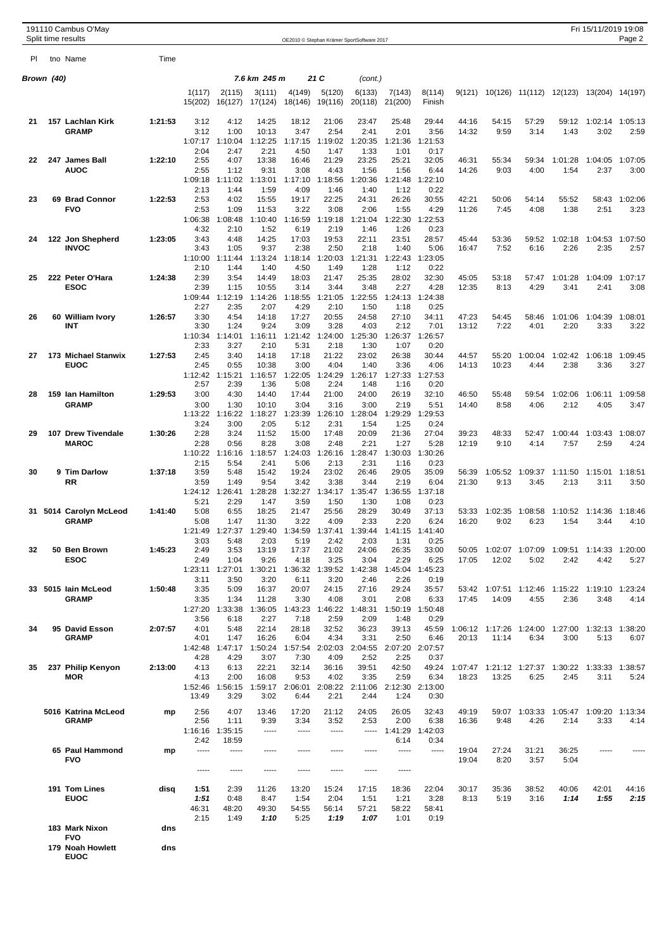|            | 191110 Cambus O'May<br>Split time results |         |                         |                         |                   |                   |                   | OE2010 © Stephan Krämer SportSoftware 2017 |                   |                         |                |                                  |                 |                         | Fri 15/11/2019 19:08              | Page 2          |
|------------|-------------------------------------------|---------|-------------------------|-------------------------|-------------------|-------------------|-------------------|--------------------------------------------|-------------------|-------------------------|----------------|----------------------------------|-----------------|-------------------------|-----------------------------------|-----------------|
| PI.        | tno Name                                  | Time    |                         |                         |                   |                   |                   |                                            |                   |                         |                |                                  |                 |                         |                                   |                 |
| Brown (40) |                                           |         |                         |                         | 7.6 km 245 m      |                   | 21 C              | (cont.)                                    |                   |                         |                |                                  |                 |                         |                                   |                 |
|            |                                           |         | 1(117)<br>15(202)       | 2(115)<br>16(127)       | 3(111)<br>17(124) | 4(149)<br>18(146) | 5(120)<br>19(116) | 6(133)<br>20(118)                          | 7(143)<br>21(200) | 8(114)<br>Finish        | 9(121)         |                                  |                 | 10(126) 11(112) 12(123) | 13(204) 14(197)                   |                 |
| 21         | 157 Lachlan Kirk                          | 1:21:53 | 3:12                    | 4:12                    | 14:25             | 18:12             | 21:06             | 23:47                                      | 25:48             | 29:44                   | 44:16          | 54:15                            | 57:29           | 59:12                   | 1:02:14                           | 1:05:13         |
|            | <b>GRAMP</b>                              |         | 3:12<br>1:07:17 1:10:04 | 1:00                    | 10:13<br>1:12:25  | 3:47<br>1:17:15   | 2:54<br>1:19:02   | 2:41<br>1:20:35                            | 2:01<br>1:21:36   | 3:56<br>1:21:53         | 14:32          | 9:59                             | 3:14            | 1:43                    | 3:02                              | 2:59            |
|            |                                           |         | 2:04                    | 2:47                    | 2:21              | 4:50              | 1:47              | 1:33                                       | 1:01              | 0:17                    |                |                                  |                 |                         |                                   |                 |
| 22         | 247 James Ball                            | 1:22:10 | 2:55                    | 4:07                    | 13:38             | 16:46             | 21:29             | 23:25                                      | 25:21             | 32:05                   | 46:31          | 55:34                            | 59:34           | 1:01:28                 | 1:04:05                           | 1:07:05         |
|            | <b>AUOC</b>                               |         | 2:55<br>1:09:18         | 1:12<br>1:11:02         | 9:31<br>1:13:01   | 3:08<br>1:17:10   | 4:43<br>1:18:56   | 1:56<br>1:20:36                            | 1:56<br>1:21:48   | 6:44<br>1:22:10         | 14:26          | 9:03                             | 4:00            | 1:54                    | 2:37                              | 3:00            |
|            |                                           |         | 2:13                    | 1:44                    | 1:59              | 4:09              | 1:46              | 1:40                                       | 1:12              | 0:22                    |                |                                  |                 |                         |                                   |                 |
| 23         | 69 Brad Connor<br><b>FVO</b>              | 1:22:53 | 2:53<br>2:53            | 4:02<br>1:09            | 15:55<br>11:53    | 19:17<br>3:22     | 22:25<br>3:08     | 24:31<br>2:06                              | 26:26<br>1:55     | 30:55<br>4:29           | 42:21<br>11:26 | 50:06<br>7:45                    | 54:14<br>4:08   | 55:52<br>1:38           | 58:43<br>2:51                     | 1:02:06<br>3:23 |
|            |                                           |         | 1:06:38                 | 1:08:48                 | 1:10:40           | 1:16:59           | 1:19:18           | 1:21:04                                    | 1:22:30           | 1:22:53                 |                |                                  |                 |                         |                                   |                 |
| 24         |                                           | 1:23:05 | 4:32<br>3:43            | 2:10<br>4:48            | 1:52<br>14:25     | 6:19<br>17:03     | 2:19<br>19:53     | 1:46<br>22:11                              | 1:26<br>23:51     | 0:23<br>28:57           | 45:44          |                                  | 59:52           | 1:02:18                 | 1:04:53                           |                 |
|            | 122 Jon Shepherd<br><b>INVOC</b>          |         | 3:43                    | 1:05                    | 9:37              | 2:38              | 2:50              | 2:18                                       | 1:40              | 5:06                    | 16:47          | 53:36<br>7:52                    | 6:16            | 2:26                    | 2:35                              | 1:07:50<br>2:57 |
|            |                                           |         | 1:10:00                 | 1:11:44                 | 1:13:24           | 1:18:14           | 1:20:03           | 1:21:31                                    | 1:22:43           | 1:23:05                 |                |                                  |                 |                         |                                   |                 |
| 25         | 222 Peter O'Hara                          | 1:24:38 | 2:10<br>2:39            | 1:44<br>3:54            | 1:40<br>14:49     | 4:50<br>18:03     | 1:49<br>21:47     | 1:28<br>25:35                              | 1:12<br>28:02     | 0:22<br>32:30           | 45:05          | 53:18                            | 57:47           | 1:01:28                 | 1:04:09                           | 1:07:17         |
|            | <b>ESOC</b>                               |         | 2:39                    | 1:15                    | 10:55             | 3:14              | 3:44              | 3:48                                       | 2:27              | 4:28                    | 12:35          | 8:13                             | 4:29            | 3:41                    | 2:41                              | 3:08            |
|            |                                           |         | 1:09:44<br>2:27         | 1:12:19<br>2:35         | 1:14:26<br>2:07   | 1:18:55<br>4:29   | 1:21:05<br>2:10   | 1:22:55<br>1:50                            | 1:24:13<br>1:18   | 1:24:38<br>0:25         |                |                                  |                 |                         |                                   |                 |
| 26         | 60 William Ivory                          | 1:26:57 | 3:30                    | 4:54                    | 14:18             | 17:27             | 20:55             | 24:58                                      | 27:10             | 34:11                   | 47:23          | 54:45                            | 58:46           | 1:01:06                 | 1:04:39                           | 1:08:01         |
|            | INT                                       |         | 3:30                    | 1:24                    | 9:24              | 3:09              | 3:28              | 4:03                                       | 2:12              | 7:01                    | 13:12          | 7:22                             | 4:01            | 2:20                    | 3:33                              | 3:22            |
|            |                                           |         | 1:10:34<br>2:33         | 1:14:01<br>3:27         | 1:16:11<br>2:10   | 1:21:42<br>5:31   | 1:24:00<br>2:18   | 1:25:30<br>1:30                            | 1:26:37<br>1:07   | 1:26:57<br>0:20         |                |                                  |                 |                         |                                   |                 |
| 27         | 173 Michael Stanwix                       | 1:27:53 | 2:45                    | 3:40                    | 14:18             | 17:18             | 21:22             | 23:02                                      | 26:38             | 30:44                   | 44:57          | 55:20                            | 1:00:04         | 1:02:42                 | 1:06:18                           | 1:09:45         |
|            | <b>EUOC</b>                               |         | 2:45<br>1:12:42         | 0:55<br>1:15:21         | 10:38<br>1:16:57  | 3:00<br>1:22:05   | 4:04<br>:24:29    | 1:40<br>1:26:17                            | 3:36<br>1:27:33   | 4:06<br>1:27:53         | 14:13          | 10:23                            | 4:44            | 2:38                    | 3:36                              | 3:27            |
|            |                                           |         | 2:57                    | 2:39                    | 1:36              | 5:08              | 2:24              | 1:48                                       | 1:16              | 0:20                    |                |                                  |                 |                         |                                   |                 |
| 28         | 159 Ian Hamilton<br><b>GRAMP</b>          | 1:29:53 | 3:00<br>3:00            | 4:30<br>1:30            | 14:40<br>10:10    | 17:44<br>3:04     | 21:00<br>3:16     | 24:00<br>3:00                              | 26:19<br>2:19     | 32:10<br>5:51           | 46:50          | 55:48<br>8:58                    | 59:54<br>4:06   | 1:02:06<br>2:12         | 1:06:11<br>4:05                   | 1:09:58<br>3:47 |
|            |                                           |         | 1:13:22                 | 1:16:22                 | 1:18:27           | 1:23:39           | 1:26:10           | 1:28:04                                    | 1:29:29           | 1:29:53                 | 14:40          |                                  |                 |                         |                                   |                 |
|            |                                           |         | 3:24                    | 3:00                    | 2:05              | 5:12              | 2:31              | 1:54                                       | 1:25              | 0:24                    |                |                                  |                 |                         |                                   |                 |
| 29         | 107 Drew Tivendale<br><b>MAROC</b>        | 1:30:26 | 2:28<br>2:28            | 3:24<br>0:56            | 11:52<br>8:28     | 15:00<br>3:08     | 17:48<br>2:48     | 20:09<br>2:21                              | 21:36<br>1:27     | 27:04<br>5:28           | 39:23<br>12:19 | 48:33<br>9:10                    | 52:47<br>4:14   | 1:00:44<br>7:57         | 1:03:43<br>2:59                   | 1:08:07<br>4:24 |
|            |                                           |         | 1:10:22                 | 1:16:16                 | 1:18:57           | 1:24:03           | 1:26:16           | 1:28:47                                    | 1:30:03           | 1:30:26                 |                |                                  |                 |                         |                                   |                 |
| 30         | <b>9 Tim Darlow</b>                       | 1:37:18 | 2:15<br>3:59            | 5:54<br>5:48            | 2:41<br>15:42     | 5:06<br>19:24     | 2:13<br>23:02     | 2:31<br>26:46                              | 1:16<br>29:05     | 0:23<br>35:09           | 56:39          | 1:05:52                          | 1:09:37         | 1:11:50                 | 1:15:01                           | 1:18:51         |
|            | RR                                        |         | 3:59                    | 1:49                    | 9:54              | 3:42              | 3:38              | 3:44                                       | 2:19              | 6:04                    | 21:30          | 9:13                             | 3:45            | 2:13                    | 3:11                              | 3:50            |
|            |                                           |         | 1:24:12<br>5:21         | 1:26:41<br>2:29         | 1:28:28<br>1:47   | 1:32:27<br>3:59   | 1:34:17<br>1:50   | 1:35:47<br>1:30                            | 1:36:55           | 1:37:18<br>0:23         |                |                                  |                 |                         |                                   |                 |
| 31         | 5014 Carolyn McLeod                       | 1:41:40 | 5:08                    | 6:55                    | 18:25             | 21:47             | 25:56             | 28:29                                      | 1:08<br>30:49     | 37:13                   | 53:33          | 1:02:35                          | 1:08:58         | 1:10:52                 | 1:14:36                           | 1:18:46         |
|            | <b>GRAMP</b>                              |         | 5:08                    | 1:47                    | 11:30             | 3:22              | 4:09              | 2:33                                       | 2:20              | 6:24                    | 16:20          | 9:02                             | 6:23            | 1:54                    | 3:44                              | 4:10            |
|            |                                           |         | 1:21:49<br>3:03         | 1:27:37<br>5:48         | 29:40<br>2:03     | 1:34:59<br>5:19   | :37:41<br>2:42    | 1:39:44<br>2:03                            | 1:41:15<br>1:31   | 1:41:40<br>0:25         |                |                                  |                 |                         |                                   |                 |
| 32         | 50 Ben Brown                              | 1:45:23 | 2:49                    | 3:53                    | 13:19             | 17:37             | 21:02             | 24:06                                      | 26:35             | 33:00                   | 50:05          |                                  | 1:02:07 1:07:09 | 1:09:51                 | 1:14:33 1:20:00                   |                 |
|            | <b>ESOC</b>                               |         | 2:49<br>1:23:11         | 1:04<br>1:27:01         | 9:26<br>1:30:21   | 4:18<br>1:36:32   | 3:25<br>1:39:52   | 3:04<br>1:42:38                            | 2:29<br>1:45:04   | 6:25<br>1:45:23         | 17:05          | 12:02                            | 5:02            | 2:42                    | 4:42                              | 5:27            |
|            |                                           |         | 3:11                    | 3:50                    | 3:20              | 6:11              | 3:20              | 2:46                                       | 2:26              | 0:19                    |                |                                  |                 |                         |                                   |                 |
|            | 33 5015 lain McLeod<br><b>GRAMP</b>       | 1:50:48 | 3:35<br>3:35            | 5:09<br>1:34            | 16:37<br>11:28    | 20:07<br>3:30     | 24:15<br>4:08     | 27:16<br>3:01                              | 29:24<br>2:08     | 35:57<br>6:33           | 17:45          | 53:42 1:07:51 1:12:46<br>14:09   | 4:55            | 2:36                    | 1:15:22  1:19:10  1:23:24<br>3:48 | 4:14            |
|            |                                           |         | 1:27:20                 | 1:33:38                 | 1:36:05           | 1:43:23           | 1:46:22           | 1:48:31                                    | 1:50:19           | 1:50:48                 |                |                                  |                 |                         |                                   |                 |
|            |                                           |         | 3:56                    | 6:18                    | 2:27              | 7:18              | 2:59              | 2:09                                       | 1:48              | 0:29                    |                |                                  |                 |                         |                                   |                 |
| 34         | 95 David Esson<br><b>GRAMP</b>            | 2:07:57 | 4:01<br>4:01            | 5:48<br>1:47            | 22:14<br>16:26    | 28:18<br>6:04     | 32:52<br>4:34     | 36:23<br>3:31                              | 39:13<br>2:50     | 45:59<br>6:46           | 20:13          | 1:06:12 1:17:26 1:24:00<br>11:14 | 6:34            | 1:27:00<br>3:00         | 1:32:13 1:38:20<br>5:13           | 6:07            |
|            |                                           |         | 1:42:48                 | 1:47:17                 | 1:50:24           | 1:57:54           | 2:02:03           | 2:04:55                                    |                   | 2:07:20 2:07:57         |                |                                  |                 |                         |                                   |                 |
| 35         | 237 Philip Kenyon                         | 2:13:00 | 4:28<br>4:13            | 4:29<br>6:13            | 3:07<br>22:21     | 7:30<br>32:14     | 4:09<br>36:16     | 2:52<br>39:51                              | 2:25<br>42:50     | 0:37<br>49:24           |                | 1:07:47 1:21:12 1:27:37          |                 | 1:30:22                 | 1:33:33 1:38:57                   |                 |
|            | MOR                                       |         | 4:13                    | 2:00                    | 16:08             | 9:53              | 4:02              | 3:35                                       | 2:59              | 6:34                    | 18:23          | 13:25                            | 6:25            | 2:45                    | 3:11                              | 5:24            |
|            |                                           |         | 13:49                   | 1:52:46 1:56:15<br>3:29 | 1:59:17<br>3:02   | 2:06:01<br>6:44   | 2:21              | 2:08:22 2:11:06<br>2:44                    | 1:24              | 2:12:30 2:13:00<br>0:30 |                |                                  |                 |                         |                                   |                 |
|            |                                           |         |                         |                         |                   |                   |                   |                                            |                   |                         |                |                                  |                 |                         |                                   |                 |
|            | 5016 Katrina McLeod<br><b>GRAMP</b>       | mp      | 2:56<br>2:56            | 4:07<br>1:11            | 13:46<br>9:39     | 17:20<br>3:34     | 21:12<br>3:52     | 24:05<br>2:53                              | 26:05<br>2:00     | 32:43<br>6:38           | 49:19<br>16:36 | 59:07<br>9:48                    | 1:03:33<br>4:26 | 1:05:47<br>2:14         | 1:09:20 1:13:34<br>3:33           | 4:14            |
|            |                                           |         | 1:16:16                 | 1:35:15                 | -----             | -----             | -----             | -----                                      | 1:41:29           | 1:42:03                 |                |                                  |                 |                         |                                   |                 |
|            | 65 Paul Hammond                           | mp      | 2:42<br>-----           | 18:59<br>-----          | -----             |                   | -----             | -----                                      | 6:14<br>-----     | 0:34<br>-----           | 19:04          | 27:24                            | 31:21           | 36:25                   |                                   |                 |
|            | <b>FVO</b>                                |         |                         |                         |                   |                   |                   |                                            |                   |                         | 19:04          | 8:20                             | 3:57            | 5:04                    |                                   |                 |
|            |                                           |         | -----                   | -----                   | -----             | -----             | -----             | -----                                      | -----             |                         |                |                                  |                 |                         |                                   |                 |
|            | 191 Tom Lines                             | disq    | 1:51                    | 2:39                    | 11:26             | 13:20             | 15:24             | 17:15                                      | 18:36             | 22:04                   | 30:17          | 35:36                            | 38:52           | 40:06                   | 42:01                             | 44:16           |
|            | <b>EUOC</b>                               |         | 1:51                    | 0:48                    | 8:47              | 1:54              | 2:04              | 1:51                                       | 1:21              | 3:28                    | 8:13           | 5:19                             | 3:16            | 1:14                    | 1:55                              | 2:15            |
|            |                                           |         | 46:31<br>2:15           | 48:20<br>1:49           | 49:30<br>1:10     | 54:55<br>5:25     | 56:14<br>1:19     | 57:21<br>1:07                              | 58:22<br>1:01     | 58:41<br>0:19           |                |                                  |                 |                         |                                   |                 |
|            | 183 Mark Nixon                            | dns     |                         |                         |                   |                   |                   |                                            |                   |                         |                |                                  |                 |                         |                                   |                 |
|            | <b>FVO</b>                                |         |                         |                         |                   |                   |                   |                                            |                   |                         |                |                                  |                 |                         |                                   |                 |

- **179 Noah Howlett dns**
	- **EUOC**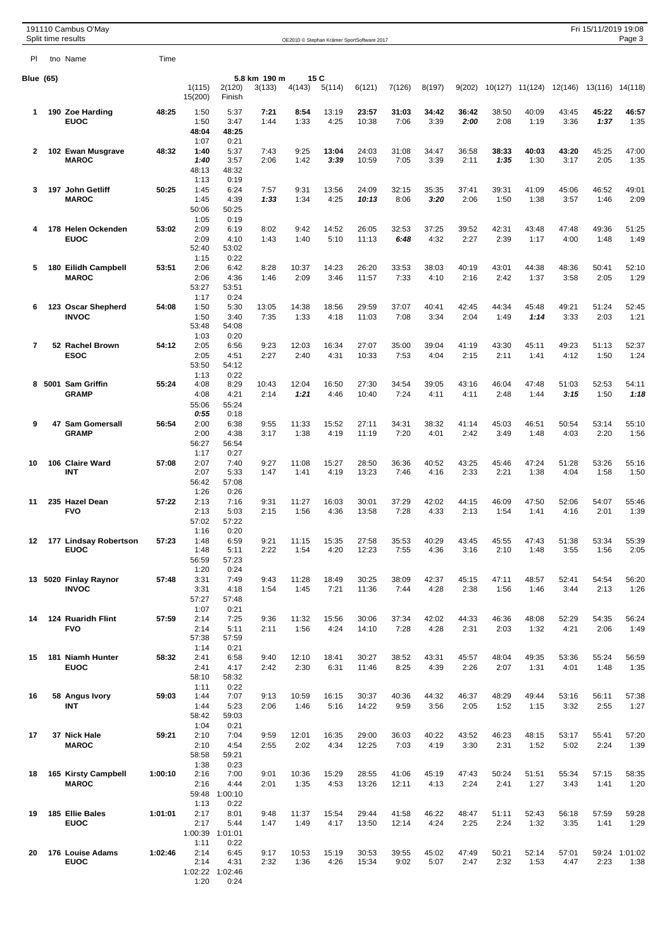|                |                  | 191110 Cambus O'May<br>Split time results |         |                                       |                                         |                        |               |                | OE2010 © Stephan Krämer SportSoftware 2017 |                |               |               |               |                 |               | Fri 15/11/2019 19:08 | Page 3          |
|----------------|------------------|-------------------------------------------|---------|---------------------------------------|-----------------------------------------|------------------------|---------------|----------------|--------------------------------------------|----------------|---------------|---------------|---------------|-----------------|---------------|----------------------|-----------------|
| PI             |                  | tno Name                                  | Time    |                                       |                                         |                        |               |                |                                            |                |               |               |               |                 |               |                      |                 |
|                | <b>Blue</b> (65) |                                           |         | 1(115)<br>15(200)                     | 2(120)<br>Finish                        | 5.8 km 190 m<br>3(133) | 4(143)        | 15 C<br>5(114) | 6(121)                                     | 7(126)         | 8(197)        | 9(202)        |               | 10(127) 11(124) | 12(146)       |                      | 13(116) 14(118) |
| 1              |                  | 190 Zoe Harding<br><b>EUOC</b>            | 48:25   | 1:50<br>1:50<br>48:04                 | 5:37<br>3:47<br>48:25                   | 7:21<br>1:44           | 8:54<br>1:33  | 13:19<br>4:25  | 23:57<br>10:38                             | 31:03<br>7:06  | 34:42<br>3:39 | 36:42<br>2:00 | 38:50<br>2:08 | 40:09<br>1:19   | 43:45<br>3:36 | 45:22<br>1:37        | 46:57<br>1:35   |
| $\mathbf{2}$   |                  | 102 Ewan Musgrave<br><b>MAROC</b>         | 48:32   | 1:07<br>1:40<br>1:40<br>48:13<br>1:13 | 0:21<br>5:37<br>3:57<br>48:32<br>0:19   | 7:43<br>2:06           | 9:25<br>1:42  | 13:04<br>3:39  | 24:03<br>10:59                             | 31:08<br>7:05  | 34:47<br>3:39 | 36:58<br>2:11 | 38:33<br>1:35 | 40:03<br>1:30   | 43:20<br>3:17 | 45:25<br>2:05        | 47:00<br>1:35   |
| 3              |                  | 197 John Getliff<br><b>MAROC</b>          | 50:25   | 1:45<br>1:45<br>50:06<br>1:05         | 6:24<br>4:39<br>50:25<br>0:19           | 7:57<br>1:33           | 9:31<br>1:34  | 13:56<br>4:25  | 24:09<br>10:13                             | 32:15<br>8:06  | 35:35<br>3:20 | 37:41<br>2:06 | 39:31<br>1:50 | 41:09<br>1:38   | 45:06<br>3:57 | 46:52<br>1:46        | 49:01<br>2:09   |
| 4              |                  | 178 Helen Ockenden<br><b>EUOC</b>         | 53:02   | 2:09<br>2:09<br>52:40<br>1:15         | 6:19<br>4:10<br>53:02<br>0:22           | 8:02<br>1:43           | 9:42<br>1:40  | 14:52<br>5:10  | 26:05<br>11:13                             | 32:53<br>6:48  | 37:25<br>4:32 | 39:52<br>2:27 | 42:31<br>2:39 | 43:48<br>1:17   | 47:48<br>4:00 | 49:36<br>1:48        | 51:25<br>1:49   |
| 5              |                  | 180 Eilidh Campbell<br><b>MAROC</b>       | 53:51   | 2:06<br>2:06<br>53:27<br>1:17         | 6:42<br>4:36<br>53:51<br>0:24           | 8:28<br>1:46           | 10:37<br>2:09 | 14:23<br>3:46  | 26:20<br>11:57                             | 33:53<br>7:33  | 38:03<br>4:10 | 40:19<br>2:16 | 43:01<br>2:42 | 44:38<br>1:37   | 48:36<br>3:58 | 50:41<br>2:05        | 52:10<br>1:29   |
| 6              |                  | 123 Oscar Shepherd<br><b>INVOC</b>        | 54:08   | 1:50<br>1:50<br>53:48<br>1:03         | 5:30<br>3:40<br>54:08<br>0:20           | 13:05<br>7:35          | 14:38<br>1:33 | 18:56<br>4:18  | 29:59<br>11:03                             | 37:07<br>7:08  | 40:41<br>3:34 | 42:45<br>2:04 | 44:34<br>1:49 | 45:48<br>1:14   | 49:21<br>3:33 | 51:24<br>2:03        | 52:45<br>1:21   |
| $\overline{7}$ |                  | 52 Rachel Brown<br><b>ESOC</b>            | 54:12   | 2:05<br>2:05<br>53:50                 | 6:56<br>4:51<br>54:12                   | 9:23<br>2:27           | 12:03<br>2:40 | 16:34<br>4:31  | 27:07<br>10:33                             | 35:00<br>7:53  | 39:04<br>4:04 | 41:19<br>2:15 | 43:30<br>2:11 | 45:11<br>1:41   | 49:23<br>4:12 | 51:13<br>1:50        | 52:37<br>1:24   |
| 8              |                  | 5001 Sam Griffin<br><b>GRAMP</b>          | 55:24   | 1:13<br>4:08<br>4:08<br>55:06<br>0:55 | 0:22<br>8:29<br>4:21<br>55:24<br>0:18   | 10:43<br>2:14          | 12:04<br>1:21 | 16:50<br>4:46  | 27:30<br>10:40                             | 34:54<br>7:24  | 39:05<br>4:11 | 43:16<br>4:11 | 46:04<br>2:48 | 47:48<br>1:44   | 51:03<br>3:15 | 52:53<br>1:50        | 54:11<br>1:18   |
| 9              |                  | 47 Sam Gomersall<br><b>GRAMP</b>          | 56:54   | 2:00<br>2:00<br>56:27<br>1:17         | 6:38<br>4:38<br>56:54<br>0:27           | 9:55<br>3:17           | 11:33<br>1:38 | 15:52<br>4:19  | 27:11<br>11:19                             | 34:31<br>7:20  | 38:32<br>4:01 | 41:14<br>2:42 | 45:03<br>3:49 | 46:51<br>1:48   | 50:54<br>4:03 | 53:14<br>2:20        | 55:10<br>1:56   |
| 10             |                  | 106 Claire Ward<br>INT                    | 57:08   | 2:07<br>2:07<br>56:42<br>1:26         | 7:40<br>5:33<br>57:08<br>0:26           | 9:27<br>1:47           | 11:08<br>1:41 | 15:27<br>4:19  | 28:50<br>13:23                             | 36:36<br>7:46  | 40:52<br>4:16 | 43:25<br>2:33 | 45:46<br>2:21 | 47:24<br>1:38   | 51:28<br>4:04 | 53:26<br>1:58        | 55:16<br>1:50   |
| 11             |                  | 235 Hazel Dean<br><b>FVO</b>              | 57:22   | 2:13<br>2:13<br>57:02<br>1:16         | 7:16<br>5:03<br>57:22<br>0:20           | 9:31<br>2:15           | 11:27<br>1:56 | 16:03<br>4:36  | 30:01<br>13:58                             | 37:29<br>7:28  | 42:02<br>4:33 | 44:15<br>2:13 | 46:09<br>1:54 | 47:50<br>1:41   | 52:06<br>4:16 | 54:07<br>2:01        | 55:46<br>1:39   |
| 12             |                  | 177 Lindsay Robertson<br><b>EUOC</b>      | 57:23   | 1:48<br>1:48<br>56:59<br>1:20         | 6:59<br>5:11<br>57:23<br>0:24           | 9:21<br>2:22           | 11:15<br>1:54 | 15:35<br>4:20  | 27:58<br>12:23                             | 35:53<br>7:55  | 40:29<br>4:36 | 43:45<br>3:16 | 45:55<br>2:10 | 47:43<br>1:48   | 51:38<br>3:55 | 53:34<br>1:56        | 55:39<br>2:05   |
| 13             |                  | 5020 Finlay Raynor<br><b>INVOC</b>        | 57:48   | 3:31<br>3:31<br>57:27<br>1:07         | 7:49<br>4:18<br>57:48<br>0:21           | 9:43<br>1:54           | 11:28<br>1:45 | 18:49<br>7:21  | 30:25<br>11:36                             | 38:09<br>7:44  | 42:37<br>4:28 | 45:15<br>2:38 | 47:11<br>1:56 | 48:57<br>1:46   | 52:41<br>3:44 | 54:54<br>2:13        | 56:20<br>1:26   |
| 14             |                  | 124 Ruaridh Flint<br><b>FVO</b>           | 57:59   | 2:14<br>2:14<br>57:38<br>1:14         | 7:25<br>5:11<br>57:59<br>0:21           | 9:36<br>2:11           | 11:32<br>1:56 | 15:56<br>4:24  | 30:06<br>14:10                             | 37:34<br>7:28  | 42:02<br>4:28 | 44:33<br>2:31 | 46:36<br>2:03 | 48:08<br>1:32   | 52:29<br>4:21 | 54:35<br>2:06        | 56:24<br>1:49   |
| 15             |                  | 181 Niamh Hunter<br><b>EUOC</b>           | 58:32   | 2:41<br>2:41<br>58:10<br>1:11         | 6:58<br>4:17<br>58:32<br>0:22           | 9:40<br>2:42           | 12:10<br>2:30 | 18:41<br>6:31  | 30:27<br>11:46                             | 38:52<br>8:25  | 43:31<br>4:39 | 45:57<br>2:26 | 48:04<br>2:07 | 49:35<br>1:31   | 53:36<br>4:01 | 55:24<br>1:48        | 56:59<br>1:35   |
| 16             |                  | 58 Angus Ivory<br>INT                     | 59:03   | 1:44<br>1:44<br>58:42<br>1:04         | 7:07<br>5:23<br>59:03<br>0:21           | 9:13<br>2:06           | 10:59<br>1:46 | 16:15<br>5:16  | 30:37<br>14:22                             | 40:36<br>9:59  | 44:32<br>3:56 | 46:37<br>2:05 | 48:29<br>1:52 | 49:44<br>1:15   | 53:16<br>3:32 | 56:11<br>2:55        | 57:38<br>1:27   |
| 17             |                  | 37 Nick Hale<br><b>MAROC</b>              | 59:21   | 2:10<br>2:10<br>58:58<br>1:38         | 7:04<br>4:54<br>59:21<br>0:23           | 9:59<br>2:55           | 12:01<br>2:02 | 16:35<br>4:34  | 29:00<br>12:25                             | 36:03<br>7:03  | 40:22<br>4:19 | 43:52<br>3:30 | 46:23<br>2:31 | 48:15<br>1:52   | 53:17<br>5:02 | 55:41<br>2:24        | 57:20<br>1:39   |
| 18             |                  | 165 Kirsty Campbell<br><b>MAROC</b>       | 1:00:10 | 2:16<br>2:16<br>59:48<br>1:13         | 7:00<br>4:44<br>1:00:10<br>0:22         | 9:01<br>2:01           | 10:36<br>1:35 | 15:29<br>4:53  | 28:55<br>13:26                             | 41:06<br>12:11 | 45:19<br>4:13 | 47:43<br>2:24 | 50:24<br>2:41 | 51:51<br>1:27   | 55:34<br>3:43 | 57:15<br>1:41        | 58:35<br>1:20   |
| 19             |                  | 185 Ellie Bales<br><b>EUOC</b>            | 1:01:01 | 2:17<br>2:17<br>1:00:39<br>1:11       | 8:01<br>5:44<br>1:01:01<br>0:22         | 9:48<br>1:47           | 11:37<br>1:49 | 15:54<br>4:17  | 29:44<br>13:50                             | 41:58<br>12:14 | 46:22<br>4:24 | 48:47<br>2:25 | 51:11<br>2:24 | 52:43<br>1:32   | 56:18<br>3:35 | 57:59<br>1:41        | 59:28<br>1:29   |
| 20             |                  | 176 Louise Adams<br><b>EUOC</b>           | 1:02:46 | 2:14<br>2:14<br>1:20                  | 6:45<br>4:31<br>1:02:22 1:02:46<br>0:24 | 9:17<br>2:32           | 10:53<br>1:36 | 15:19<br>4:26  | 30:53<br>15:34                             | 39:55<br>9:02  | 45:02<br>5:07 | 47:49<br>2:47 | 50:21<br>2:32 | 52:14<br>1:53   | 57:01<br>4:47 | 59:24<br>2:23        | 1:01:02<br>1:38 |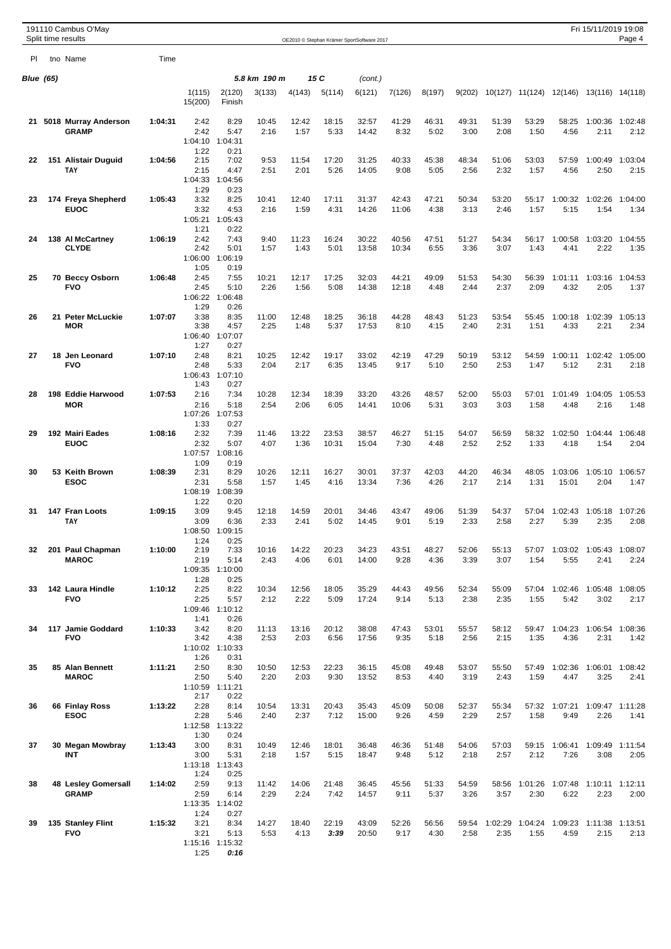|           | 191110 Cambus O'May<br>Split time results  |         |                                         |                                         |               |               |                | OE2010 © Stephan Krämer SportSoftware 2017 |                |               |               |               |                         |                  | Fri 15/11/2019 19:08            | Page 4          |
|-----------|--------------------------------------------|---------|-----------------------------------------|-----------------------------------------|---------------|---------------|----------------|--------------------------------------------|----------------|---------------|---------------|---------------|-------------------------|------------------|---------------------------------|-----------------|
| PI.       | tno Name                                   | Time    |                                         |                                         |               |               |                |                                            |                |               |               |               |                         |                  |                                 |                 |
| Blue (65) |                                            |         |                                         |                                         | 5.8 km 190 m  |               | 15 C           | (cont.)                                    |                |               |               |               |                         |                  |                                 |                 |
|           |                                            |         | 1(115)<br>15(200)                       | 2(120)<br>Finish                        | 3(133)        | 4(143)        | 5(114)         | 6(121)                                     | 7(126)         | 8(197)        | 9(202)        |               | 10(127) 11(124)         |                  | 12(146) 13(116) 14(118)         |                 |
| 21        | 5018 Murray Anderson<br><b>GRAMP</b>       | 1:04:31 | 2:42<br>2:42<br>1:04:10                 | 8:29<br>5:47<br>1:04:31                 | 10:45<br>2:16 | 12:42<br>1:57 | 18:15<br>5:33  | 32:57<br>14:42                             | 41:29<br>8:32  | 46:31<br>5:02 | 49:31<br>3:00 | 51:39<br>2:08 | 53:29<br>1:50           | 58:25<br>4:56    | 1:00:36<br>2:11                 | 1:02:48<br>2:12 |
| 22        | 151 Alistair Duguid<br>ΤΑΥ                 | 1:04:56 | 1:22<br>2:15<br>2:15                    | 0:21<br>7:02<br>4:47                    | 9:53<br>2:51  | 11:54<br>2:01 | 17:20<br>5:26  | 31:25<br>14:05                             | 40:33<br>9:08  | 45:38<br>5:05 | 48:34<br>2:56 | 51:06<br>2:32 | 53:03<br>1:57           | 57:59<br>4:56    | 1:00:49<br>2:50                 | 1:03:04<br>2:15 |
| 23        | 174 Freya Shepherd                         | 1:05:43 | 1:04:33<br>1:29<br>3:32                 | 1:04:56<br>0:23<br>8:25                 | 10:41         | 12:40         | 17:11          | 31:37                                      | 42:43          | 47:21         | 50:34         | 53:20         | 55:17                   | 1:00:32          | 1:02:26                         | 1:04:00         |
|           | <b>EUOC</b>                                |         | 3:32<br>1:05:21<br>1:21                 | 4:53<br>1:05:43<br>0:22                 | 2:16          | 1:59          | 4:31           | 14:26                                      | 11:06          | 4:38          | 3:13          | 2:46          | 1:57                    | 5:15             | 1:54                            | 1:34            |
| 24        | 138 Al McCartney<br><b>CLYDE</b>           | 1:06:19 | 2:42<br>2:42<br>1:06:00                 | 7:43<br>5:01<br>1:06:19                 | 9:40<br>1:57  | 11:23<br>1:43 | 16:24<br>5:01  | 30:22<br>13:58                             | 40:56<br>10:34 | 47:51<br>6:55 | 51:27<br>3:36 | 54:34<br>3:07 | 56:17<br>1:43           | 1:00:58<br>4:41  | 1:03:20<br>2:22                 | 1:04:55<br>1:35 |
| 25        | 70 Beccy Osborn<br><b>FVO</b>              | 1:06:48 | 1:05<br>2:45<br>2:45<br>1:06:22         | 0:19<br>7:55<br>5:10<br>1:06:48         | 10:21<br>2:26 | 12:17<br>1:56 | 17:25<br>5:08  | 32:03<br>14:38                             | 44:21<br>12:18 | 49:09<br>4:48 | 51:53<br>2:44 | 54:30<br>2:37 | 56:39<br>2:09           | 1:01:11<br>4:32  | 1:03:16<br>2:05                 | 1:04:53<br>1:37 |
| 26        | 21 Peter McLuckie<br><b>MOR</b>            | 1:07:07 | 1:29<br>3:38<br>3:38                    | 0:26<br>8:35<br>4:57                    | 11:00<br>2:25 | 12:48<br>1:48 | 18:25<br>5:37  | 36:18<br>17:53                             | 44:28<br>8:10  | 48:43<br>4:15 | 51:23<br>2:40 | 53:54<br>2:31 | 55:45<br>1:51           | 1:00:18<br>4:33  | 1:02:39<br>2:21                 | 1:05:13<br>2:34 |
| 27        | 18 Jen Leonard                             | 1:07:10 | 1:06:40<br>1:27<br>2:48                 | 1:07:07<br>0:27<br>8:21                 | 10:25         | 12:42         | 19:17          | 33:02                                      | 42:19          | 47:29         | 50:19         | 53:12         | 54:59                   | 1:00:11          | 1:02:42                         | 1:05:00         |
|           | <b>FVO</b>                                 |         | 2:48<br>1:06:43<br>1:43                 | 5:33<br>1:07:10<br>0:27                 | 2:04          | 2:17          | 6:35           | 13:45                                      | 9:17           | 5:10          | 2:50          | 2:53          | 1:47                    | 5:12             | 2:31                            | 2:18            |
| 28        | 198 Eddie Harwood<br><b>MOR</b>            | 1:07:53 | 2:16<br>2:16<br>1:07:26<br>1:33         | 7:34<br>5:18<br>1:07:53<br>0:27         | 10:28<br>2:54 | 12:34<br>2:06 | 18:39<br>6:05  | 33:20<br>14:41                             | 43:26<br>10:06 | 48:57<br>5:31 | 52:00<br>3:03 | 55:03<br>3:03 | 57:01<br>1:58           | 1:01:49<br>4:48  | 1:04:05<br>2:16                 | 1:05:53<br>1:48 |
| 29        | 192 Mairi Eades<br><b>EUOC</b>             | 1:08:16 | 2:32<br>2:32                            | 7:39<br>5:07<br>1:07:57 1:08:16         | 11:46<br>4:07 | 13:22<br>1:36 | 23:53<br>10:31 | 38:57<br>15:04                             | 46:27<br>7:30  | 51:15<br>4:48 | 54:07<br>2:52 | 56:59<br>2:52 | 58:32<br>1:33           | 1:02:50<br>4:18  | 1:04:44<br>1:54                 | 1:06:48<br>2:04 |
| 30        | 53 Keith Brown<br><b>ESOC</b>              | 1:08:39 | 1:09<br>2:31<br>2:31<br>1:08:19         | 0:19<br>8:29<br>5:58<br>1:08:39         | 10:26<br>1:57 | 12:11<br>1:45 | 16:27<br>4:16  | 30:01<br>13:34                             | 37:37<br>7:36  | 42:03<br>4:26 | 44:20<br>2:17 | 46:34<br>2:14 | 48:05<br>1:31           | 1:03:06<br>15:01 | 1:05:10<br>2:04                 | 1:06:57<br>1:47 |
| 31        | 147 Fran Loots<br>TAY                      | 1:09:15 | 1:22<br>3:09<br>3:09                    | 0:20<br>9:45<br>6:36                    | 12:18<br>2:33 | 14:59<br>2:41 | 20:01<br>5:02  | 34:46<br>14:45                             | 43:47<br>9:01  | 49:06<br>5:19 | 51:39<br>2:33 | 54:37<br>2:58 | 57:04<br>2:27           | 1:02:43<br>5:39  | 1:05:18<br>2:35                 | 1:07:26<br>2:08 |
| 32        | 201 Paul Chapman                           | 1:10:00 | 1:08:50<br>1:24<br>2:19                 | 1:09:15<br>0:25<br>7:33                 | 10:16         | 14:22         | 20:23          | 34:23                                      | 43:51          | 48:27         | 52:06         | 55:13         | 57:07                   | 1:03:02          | 1:05:43 1:08:07                 |                 |
|           | <b>MAROC</b>                               |         | 2:19<br>1:28                            | 5:14<br>1:09:35 1:10:00<br>0:25         | 2:43          | 4:06          | 6:01           | 14:00                                      | 9:28           | 4:36          | 3:39          | 3:07          | 1:54                    | 5:55             | 2:41                            | 2:24            |
| 33        | 142 Laura Hindle<br><b>FVO</b>             | 1:10:12 | 2:25<br>2:25<br>1:41                    | 8:22<br>5:57<br>1:09:46 1:10:12<br>0:26 | 10:34<br>2:12 | 12:56<br>2:22 | 18:05<br>5:09  | 35:29<br>17:24                             | 44:43<br>9:14  | 49:56<br>5:13 | 52:34<br>2:38 | 55:09<br>2:35 | 57:04<br>1:55           | 1:02:46<br>5:42  | 1:05:48<br>3:02                 | 1:08:05<br>2:17 |
| 34        | 117 Jamie Goddard<br><b>FVO</b>            | 1:10:33 | 3:42<br>3:42                            | 8:20<br>4:38<br>1:10:02 1:10:33         | 11:13<br>2:53 | 13:16<br>2:03 | 20:12<br>6:56  | 38:08<br>17:56                             | 47:43<br>9:35  | 53:01<br>5:18 | 55:57<br>2:56 | 58:12<br>2:15 | 59:47<br>1:35           | 1:04:23<br>4:36  | 1:06:54 1:08:36<br>2:31         | 1:42            |
| 35        | 85 Alan Bennett<br><b>MAROC</b>            | 1:11:21 | 1:26<br>2:50<br>2:50<br>1:10:59         | 0:31<br>8:30<br>5:40<br>1:11:21         | 10:50<br>2:20 | 12:53<br>2:03 | 22:23<br>9:30  | 36:15<br>13:52                             | 45:08<br>8:53  | 49:48<br>4:40 | 53:07<br>3:19 | 55:50<br>2:43 | 57:49<br>1:59           | 1:02:36<br>4:47  | 1:06:01<br>3:25                 | 1:08:42<br>2:41 |
| 36        | 66 Finlay Ross<br><b>ESOC</b>              | 1:13:22 | 2:17<br>2:28<br>2:28<br>1:12:58         | 0:22<br>8:14<br>5:46<br>1:13:22         | 10:54<br>2:40 | 13:31<br>2:37 | 20:43<br>7:12  | 35:43<br>15:00                             | 45:09<br>9:26  | 50:08<br>4:59 | 52:37<br>2:29 | 55:34<br>2:57 | 57:32<br>1:58           | 1:07:21<br>9:49  | 1:09:47 1:11:28<br>2:26         | 1:41            |
| 37        | 30 Megan Mowbray<br>INT                    | 1:13:43 | 1:30<br>3:00<br>3:00                    | 0:24<br>8:31<br>5:31<br>1:13:18 1:13:43 | 10:49<br>2:18 | 12:46<br>1:57 | 18:01<br>5:15  | 36:48<br>18:47                             | 46:36<br>9:48  | 51:48<br>5:12 | 54:06<br>2:18 | 57:03<br>2:57 | 59:15<br>2:12           | 1:06:41<br>7:26  | 1:09:49<br>3:08                 | 1:11:54<br>2:05 |
| 38        | <b>48 Lesley Gomersall</b><br><b>GRAMP</b> | 1:14:02 | 1:24<br>2:59<br>2:59                    | 0:25<br>9:13<br>6:14<br>1:13:35 1:14:02 | 11:42<br>2:29 | 14:06<br>2:24 | 21:48<br>7:42  | 36:45<br>14:57                             | 45:56<br>9:11  | 51:33<br>5:37 | 54:59<br>3:26 | 58:56<br>3:57 | 1:01:26<br>2:30         | 6:22             | 1:07:48 1:10:11 1:12:11<br>2:23 | 2:00            |
| 39        | 135 Stanley Flint<br><b>FVO</b>            | 1:15:32 | 1:24<br>3:21<br>3:21<br>1:15:16<br>1:25 | 0:27<br>8:34<br>5:13<br>1:15:32<br>0:16 | 14:27<br>5:53 | 18:40<br>4:13 | 22:19<br>3:39  | 43:09<br>20:50                             | 52:26<br>9:17  | 56:56<br>4:30 | 59:54<br>2:58 | 2:35          | 1:02:29 1:04:24<br>1:55 | 1:09:23<br>4:59  | 1:11:38<br>2:15                 | 1:13:51<br>2:13 |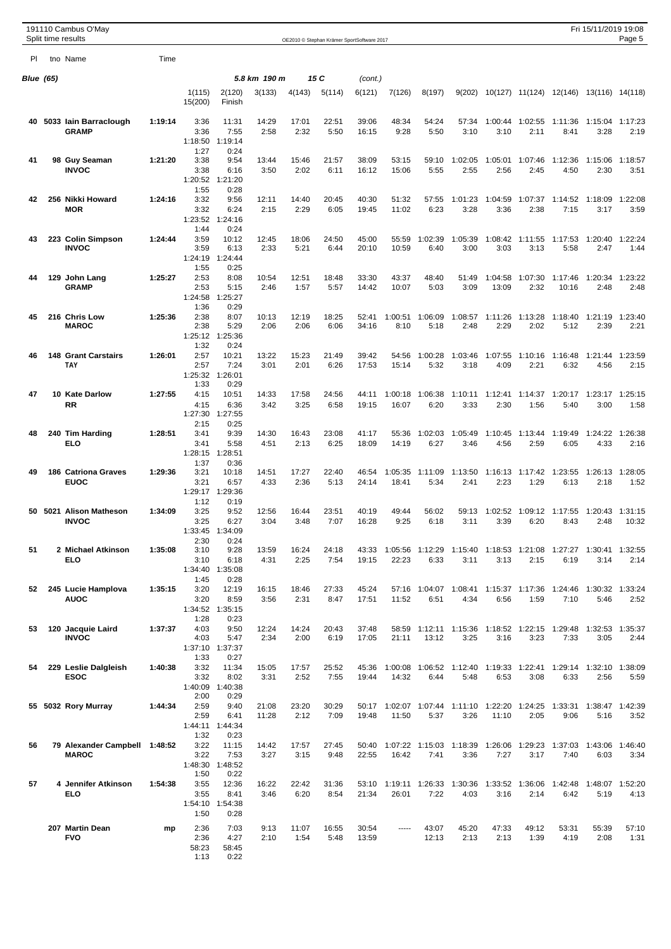|                  | 191110 Cambus O'May<br>Split time results     |         |                                         |                                          |                |               |               | OE2010 © Stephan Krämer SportSoftware 2017 |                  |                         |                                 |                                   |                         |                                         | Fri 15/11/2019 19:08    | Page 5           |
|------------------|-----------------------------------------------|---------|-----------------------------------------|------------------------------------------|----------------|---------------|---------------|--------------------------------------------|------------------|-------------------------|---------------------------------|-----------------------------------|-------------------------|-----------------------------------------|-------------------------|------------------|
| PI.              | tno Name                                      | Time    |                                         |                                          |                |               |               |                                            |                  |                         |                                 |                                   |                         |                                         |                         |                  |
| <b>Blue (65)</b> |                                               |         |                                         |                                          | 5.8 km 190 m   |               | 15 C          | (cont.)                                    |                  |                         |                                 |                                   |                         |                                         |                         |                  |
|                  |                                               |         | 1(115)<br>15(200)                       | 2(120)<br>Finish                         | 3(133)         | 4(143)        | 5(114)        | 6(121)                                     | 7(126)           | 8(197)                  | 9(202)                          |                                   |                         | 10(127) 11(124) 12(146) 13(116) 14(118) |                         |                  |
| 40               | 5033 Iain Barraclough<br><b>GRAMP</b>         | 1:19:14 | 3:36<br>3:36<br>1:18:50                 | 11:31<br>7:55<br>1:19:14                 | 14:29<br>2:58  | 17:01<br>2:32 | 22:51<br>5:50 | 39:06<br>16:15                             | 48:34<br>9:28    | 54:24<br>5:50           | 57:34<br>3:10                   | 1:00:44<br>3:10                   | 1:02:55<br>2:11         | 1:11:36<br>8:41                         | 1:15:04<br>3:28         | 1:17:23<br>2:19  |
| 41               | 98 Guy Seaman<br><b>INVOC</b>                 | 1:21:20 | 1:27<br>3:38<br>3:38<br>1:20:52<br>1:55 | 0:24<br>9:54<br>6:16<br>1:21:20          | 13:44<br>3:50  | 15:46<br>2:02 | 21:57<br>6:11 | 38:09<br>16:12                             | 53:15<br>15:06   | 59:10<br>5:55           | 1:02:05<br>2:55                 | 1:05:01<br>2:56                   | 1:07:46<br>2:45         | 1:12:36<br>4:50                         | 1:15:06<br>2:30         | 1:18:57<br>3:51  |
| 42               | 256 Nikki Howard<br><b>MOR</b>                | 1:24:16 | 3:32<br>3:32<br>1:23:52<br>1:44         | 0:28<br>9:56<br>6:24<br>1:24:16<br>0:24  | 12:11<br>2:15  | 14:40<br>2:29 | 20:45<br>6:05 | 40:30<br>19:45                             | 51:32<br>11:02   | 57:55<br>6:23           | 1:01:23<br>3:28                 | 1:04:59<br>3:36                   | 1:07:37<br>2:38         | 1:14:52<br>7:15                         | 1:18:09<br>3:17         | 1:22:08<br>3:59  |
| 43               | 223 Colin Simpson<br><b>INVOC</b>             | 1:24:44 | 3:59<br>3:59<br>1:24:19<br>1:55         | 10:12<br>6:13<br>1:24:44<br>0:25         | 12:45<br>2:33  | 18:06<br>5:21 | 24:50<br>6:44 | 45:00<br>20:10                             | 55:59<br>10:59   | 1:02:39<br>6:40         | 1:05:39<br>3:00                 | 3:03                              | 1:08:42 1:11:55<br>3:13 | 1:17:53<br>5:58                         | 1:20:40<br>2:47         | 1:22:24<br>1:44  |
| 44               | 129 John Lang<br>GRAMP                        | 1:25:27 | 2:53<br>2:53<br>1:24:58<br>1:36         | 8:08<br>5:15<br>1:25:27<br>0:29          | 10:54<br>2:46  | 12:51<br>1:57 | 18:48<br>5:57 | 33:30<br>14:42                             | 43:37<br>10:07   | 48:40<br>5:03           | 51:49<br>3:09                   | 1:04:58<br>13:09                  | 1:07:30<br>2:32         | 1:17:46<br>10:16                        | 1:20:34<br>2:48         | 1:23:22<br>2:48  |
| 45               | 216 Chris Low<br><b>MAROC</b>                 | 1:25:36 | 2:38<br>2:38<br>1:25:12<br>1:32         | 8:07<br>5:29<br>1:25:36<br>0:24          | 10:13<br>2:06  | 12:19<br>2:06 | 18:25<br>6:06 | 52:41<br>34:16                             | 1:00:51<br>8:10  | 1:06:09<br>5:18         | 1:08:57<br>2:48                 | 1:11:26<br>2:29                   | 1:13:28<br>2:02         | 1:18:40<br>5:12                         | 1:21:19<br>2:39         | 1:23:40<br>2:21  |
| 46               | <b>148 Grant Carstairs</b><br>TAY             | 1:26:01 | 2:57<br>2:57<br>1:25:32<br>1:33         | 10:21<br>7:24<br>1:26:01<br>0:29         | 13:22<br>3:01  | 15:23<br>2:01 | 21:49<br>6:26 | 39:42<br>17:53                             | 54:56<br>15:14   | 1:00:28<br>5:32         | 1:03:46<br>3:18                 | 1:07:55<br>4:09                   | 1:10:16<br>2:21         | 1:16:48<br>6:32                         | 1:21:44<br>4:56         | 1:23:59<br>2:15  |
| 47               | 10 Kate Darlow<br>RR                          | 1:27:55 | 4:15<br>4:15<br>1:27:30<br>2:15         | 10:51<br>6:36<br>1:27:55<br>0:25         | 14:33<br>3:42  | 17:58<br>3:25 | 24:56<br>6:58 | 44:11<br>19:15                             | 1:00:18<br>16:07 | 1:06:38<br>6:20         | 1:10:11<br>3:33                 | 1:12:41<br>2:30                   | 1:14:37<br>1:56         | 1:20:17<br>5:40                         | 1:23:17<br>3:00         | 1:25:15<br>1:58  |
| 48               | 240 Tim Harding<br><b>ELO</b>                 | 1:28:51 | 3:41<br>3:41<br>1:28:15<br>1:37         | 9:39<br>5:58<br>1:28:51<br>0:36          | 14:30<br>4:51  | 16:43<br>2:13 | 23:08<br>6:25 | 41:17<br>18:09                             | 55:36<br>14:19   | 1:02:03<br>6:27         | 1:05:49<br>3:46                 | 1:10:45<br>4:56                   | 1:13:44<br>2:59         | 1:19:49<br>6:05                         | 1:24:22<br>4:33         | 1:26:38<br>2:16  |
| 49               | <b>186 Catriona Graves</b><br><b>EUOC</b>     | 1:29:36 | 3:21<br>3:21<br>1:29:17<br>1:12         | 10:18<br>6:57<br>1:29:36<br>0:19         | 14:51<br>4:33  | 17:27<br>2:36 | 22:40<br>5:13 | 46:54<br>24:14                             | 1:05:35<br>18:41 | 1:11:09<br>5:34         | 1:13:50<br>2:41                 | 1:16:13<br>2:23                   | 1:17:42<br>1:29         | 1:23:55<br>6:13                         | 1:26:13<br>2:18         | 1:28:05<br>1:52  |
| 50               | 5021 Alison Matheson<br><b>INVOC</b>          | 1:34:09 | 3:25<br>3:25<br>2:30                    | 9:52<br>6:27<br>1:33:45 1:34:09<br>0:24  | 12:56<br>3:04  | 16:44<br>3:48 | 23:51<br>7:07 | 40:19<br>16:28                             | 49:44<br>9:25    | 56:02<br>6:18           | 59:13<br>3:11                   | 1:02:52<br>3:39                   | 1:09:12<br>6:20         | 1:17:55<br>8:43                         | 1:20:43<br>2:48         | 1:31:15<br>10:32 |
| 51               | 2 Michael Atkinson<br>ELO                     | 1:35:08 | 3:10<br>3:10<br>1:45                    | 9:28<br>6:18<br>1:34:40 1:35:08<br>0:28  | 13:59<br>4:31  | 16:24<br>2:25 | 24:18<br>7:54 | 43:33<br>19:15                             | 22:23            | 1:05:56 1:12:29<br>6:33 | 3:11                            | 1:15:40  1:18:53  1:21:08<br>3:13 | 2:15                    | 1:27:27  1:30:41  1:32:55<br>6:19       | 3:14                    | 2:14             |
| 52               | 245 Lucie Hamplova<br><b>AUOC</b>             | 1:35:15 | 3:20<br>3:20<br>1:28                    | 12:19<br>8:59<br>1:34:52 1:35:15<br>0:23 | 16:15<br>3:56  | 18:46<br>2:31 | 27:33<br>8:47 | 45:24<br>17:51                             | 11:52            | 57:16 1:04:07<br>6:51   | 1:08:41<br>4:34                 | 6:56                              | 1:15:37 1:17:36<br>1:59 | 1:24:46<br>7:10                         | 1:30:32 1:33:24<br>5:46 | 2:52             |
| 53               | 120 Jacquie Laird<br><b>INVOC</b>             | 1:37:37 | 4:03<br>4:03<br>1:33                    | 9:50<br>5:47<br>1:37:10 1:37:37<br>0:27  | 12:24<br>2:34  | 14:24<br>2:00 | 20:43<br>6:19 | 37:48<br>17:05                             | 58:59<br>21:11   | 1:12:11<br>13:12        | 1:15:36<br>3:25                 | 1:18:52 1:22:15<br>3:16           | 3:23                    | 1:29:48<br>7:33                         | 1:32:53<br>3:05         | 1:35:37<br>2:44  |
| 54               | 229 Leslie Dalgleish<br>ESOC                  | 1:40:38 | 3:32<br>3:32<br>1:40:09<br>2:00         | 11:34<br>8:02<br>1:40:38<br>0:29         | 15:05<br>3:31  | 17:57<br>2:52 | 25:52<br>7:55 | 45:36<br>19:44                             | 1:00:08<br>14:32 | 6:44                    | 1:06:52 1:12:40<br>5:48         | 1:19:33 1:22:41<br>6:53           | 3:08                    | 1:29:14<br>6:33                         | 1:32:10<br>2:56         | 1:38:09<br>5:59  |
|                  | 55 5032 Rory Murray                           | 1:44:34 | 2:59<br>2:59<br>1:32                    | 9:40<br>6:41<br>1:44:11 1:44:34<br>0:23  | 21:08<br>11:28 | 23:20<br>2:12 | 30:29<br>7:09 | 50:17<br>19:48                             | 11:50            | 5:37                    | 1:02:07 1:07:44 1:11:10<br>3:26 | 1:22:20 1:24:25<br>11:10          | 2:05                    | 1:33:31<br>9:06                         | 1:38:47 1:42:39<br>5:16 | 3:52             |
| 56               | 79 Alexander Campbell 1:48:52<br><b>MAROC</b> |         | 3:22<br>3:22<br>1:50                    | 11:15<br>7:53<br>1:48:30 1:48:52<br>0:22 | 14:42<br>3:27  | 17:57<br>3:15 | 27:45<br>9:48 | 50:40<br>22:55                             | 16:42            | 7:41                    | 1:07:22 1:15:03 1:18:39<br>3:36 | 7:27                              | 1:26:06 1:29:23<br>3:17 | 1:37:03<br>7:40                         | 1:43:06<br>6:03         | 1:46:40<br>3:34  |
| 57               | 4 Jennifer Atkinson<br>ELO                    | 1:54:38 | 3:55<br>3:55<br>1:50                    | 12:36<br>8:41<br>1:54:10 1:54:38<br>0:28 | 16:22<br>3:46  | 22:42<br>6:20 | 31:36<br>8:54 | 53:10<br>21:34                             | 26:01            | 1:19:11 1:26:33<br>7:22 | 1:30:36<br>4:03                 | 1:33:52 1:36:06<br>3:16           | 2:14                    | 1:42:48<br>6:42                         | 1:48:07 1:52:20<br>5:19 | 4:13             |
|                  | 207 Martin Dean<br><b>FVO</b>                 | mp      | 2:36<br>2:36<br>58:23<br>1:13           | 7:03<br>4:27<br>58:45<br>0:22            | 9:13<br>2:10   | 11:07<br>1:54 | 16:55<br>5:48 | 30:54<br>13:59                             | -----            | 43:07<br>12:13          | 45:20<br>2:13                   | 47:33<br>2:13                     | 49:12<br>1:39           | 53:31<br>4:19                           | 55:39<br>2:08           | 57:10<br>1:31    |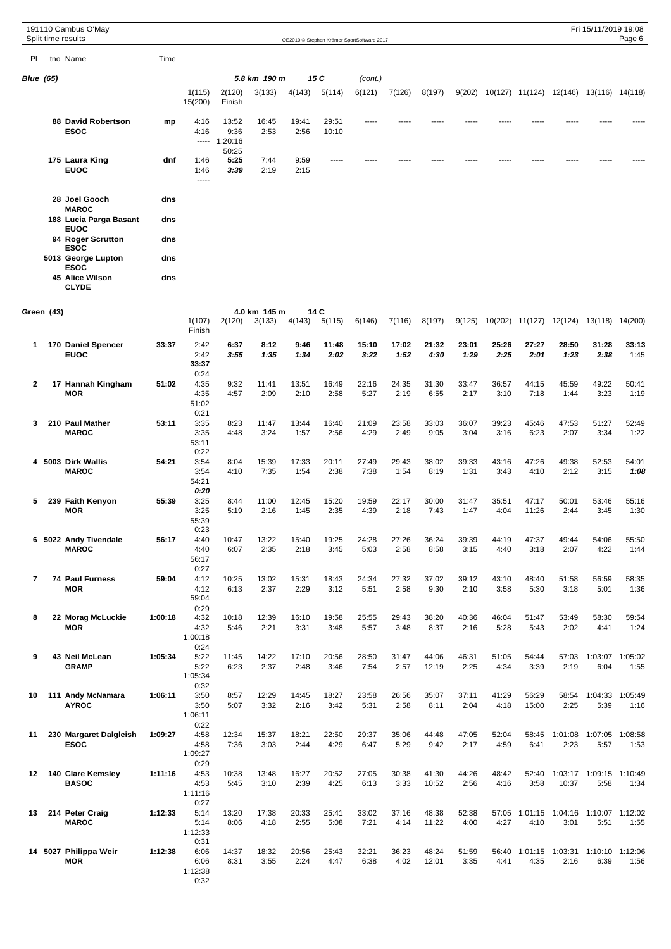|              |                  | 191110 Cambus O'May<br>Split time results |         |                                 |                                         |                        |               |                | OE2010 @ Stephan Krämer SportSoftware 2017 |               |                |               |               |                               |                 | Fri 15/11/2019 19:08                           | Page 6          |
|--------------|------------------|-------------------------------------------|---------|---------------------------------|-----------------------------------------|------------------------|---------------|----------------|--------------------------------------------|---------------|----------------|---------------|---------------|-------------------------------|-----------------|------------------------------------------------|-----------------|
| PI           |                  | tno Name                                  | Time    |                                 |                                         |                        |               |                |                                            |               |                |               |               |                               |                 |                                                |                 |
|              | <b>Blue</b> (65) |                                           |         |                                 |                                         | 5.8 km 190 m           |               | 15 C           | (cont.)                                    |               |                |               |               |                               |                 |                                                |                 |
|              |                  |                                           |         | 1(115)<br>15(200)               | 2(120)<br>Finish                        | 3(133)                 | 4(143)        | 5(114)         | 6(121)                                     | 7(126)        | 8(197)         |               |               |                               |                 | 9(202) 10(127) 11(124) 12(146) 13(116) 14(118) |                 |
|              |                  | <b>88 David Robertson</b><br><b>ESOC</b>  | mp      | 4:16<br>4:16                    | 13:52<br>9:36<br>$--- 1:20:16$<br>50:25 | 16:45<br>2:53          | 19:41<br>2:56 | 29:51<br>10:10 |                                            |               |                |               |               |                               |                 |                                                |                 |
|              |                  | 175 Laura King<br><b>EUOC</b>             | dnf     | 1:46<br>1:46<br>-----           | 5:25<br>3:39                            | 7:44<br>2:19           | 9:59<br>2:15  |                |                                            |               |                |               |               |                               |                 |                                                |                 |
|              |                  | 28 Joel Gooch<br><b>MAROC</b>             | dns     |                                 |                                         |                        |               |                |                                            |               |                |               |               |                               |                 |                                                |                 |
|              |                  | 188 Lucia Parga Basant<br><b>EUOC</b>     | dns     |                                 |                                         |                        |               |                |                                            |               |                |               |               |                               |                 |                                                |                 |
|              |                  | 94 Roger Scrutton<br><b>ESOC</b>          | dns     |                                 |                                         |                        |               |                |                                            |               |                |               |               |                               |                 |                                                |                 |
|              |                  | 5013 George Lupton<br><b>ESOC</b>         | dns     |                                 |                                         |                        |               |                |                                            |               |                |               |               |                               |                 |                                                |                 |
|              |                  | 45 Alice Wilson<br><b>CLYDE</b>           | dns     |                                 |                                         |                        |               |                |                                            |               |                |               |               |                               |                 |                                                |                 |
|              | Green (43)       |                                           |         | 1(107)<br>Finish                | 2(120)                                  | 4.0 km 145 m<br>3(133) | 4(143)        | 14 C<br>5(115) | 6(146)                                     | 7(116)        | 8(197)         | 9(125)        |               |                               |                 | 10(202) 11(127) 12(124) 13(118) 14(200)        |                 |
| 1            |                  | 170 Daniel Spencer<br><b>EUOC</b>         | 33:37   | 2:42<br>2:42<br>33:37<br>0:24   | 6:37<br>3:55                            | 8:12<br>1:35           | 9:46<br>1:34  | 11:48<br>2:02  | 15:10<br>3:22                              | 17:02<br>1:52 | 21:32<br>4:30  | 23:01<br>1:29 | 25:26<br>2:25 | 27:27<br>2:01                 | 28:50<br>1:23   | 31:28<br>2:38                                  | 33:13<br>1:45   |
| $\mathbf{2}$ |                  | 17 Hannah Kingham<br>MOR                  | 51:02   | 4:35<br>4:35<br>51:02<br>0:21   | 9:32<br>4:57                            | 11:41<br>2:09          | 13:51<br>2:10 | 16:49<br>2:58  | 22:16<br>5:27                              | 24:35<br>2:19 | 31:30<br>6:55  | 33:47<br>2:17 | 36:57<br>3:10 | 44:15<br>7:18                 | 45:59<br>1:44   | 49:22<br>3:23                                  | 50:41<br>1:19   |
| 3            |                  | 210 Paul Mather<br><b>MAROC</b>           | 53:11   | 3:35<br>3:35<br>53:11<br>0:22   | 8:23<br>4:48                            | 11:47<br>3:24          | 13:44<br>1:57 | 16:40<br>2:56  | 21:09<br>4:29                              | 23:58<br>2:49 | 33:03<br>9:05  | 36:07<br>3:04 | 39:23<br>3:16 | 45:46<br>6:23                 | 47:53<br>2:07   | 51:27<br>3:34                                  | 52:49<br>1:22   |
| 4            |                  | 5003 Dirk Wallis<br><b>MAROC</b>          | 54:21   | 3:54<br>3:54<br>54:21<br>0:20   | 8:04<br>4:10                            | 15:39<br>7:35          | 17:33<br>1:54 | 20:11<br>2:38  | 27:49<br>7:38                              | 29:43<br>1:54 | 38:02<br>8:19  | 39:33<br>1:31 | 43:16<br>3:43 | 47:26<br>4:10                 | 49:38<br>2:12   | 52:53<br>3:15                                  | 54:01<br>1:08   |
| 5            |                  | 239 Faith Kenyon<br><b>MOR</b>            | 55:39   | 3:25<br>3:25<br>55:39<br>0:23   | 8:44<br>5:19                            | 11:00<br>2:16          | 12:45<br>1:45 | 15:20<br>2:35  | 19:59<br>4:39                              | 22:17<br>2:18 | 30:00<br>7:43  | 31:47<br>1:47 | 35:51<br>4:04 | 47:17<br>11:26                | 50:01<br>2:44   | 53:46<br>3:45                                  | 55:16<br>1:30   |
|              |                  | 6 5022 Andy Tivendale<br><b>MAROC</b>     | 56:17   | 4:40<br>4:40<br>56:17<br>0:27   | 10:47<br>6:07                           | 13:22<br>2:35          | 15:40<br>2:18 | 19:25<br>3:45  | 24:28<br>5:03                              | 27:26<br>2:58 | 36:24<br>8:58  | 39:39<br>3:15 | 44:19<br>4:40 | 47:37<br>3:18                 | 49:44<br>2:07   | 54:06<br>4:22                                  | 55:50<br>1:44   |
| 7            |                  | <b>74 Paul Furness</b><br><b>MOR</b>      | 59:04   | 4:12<br>4:12<br>59:04<br>0:29   | 10:25<br>6:13                           | 13:02<br>2:37          | 15:31<br>2:29 | 18:43<br>3:12  | 24:34<br>5:51                              | 27:32<br>2:58 | 37:02<br>9:30  | 39:12<br>2:10 | 43:10<br>3:58 | 48:40<br>5:30                 | 51:58<br>3:18   | 56:59<br>5:01                                  | 58:35<br>1:36   |
| 8            |                  | 22 Morag McLuckie<br><b>MOR</b>           | 1:00:18 | 4:32<br>4:32<br>1:00:18<br>0:24 | 10:18<br>5:46                           | 12:39<br>2:21          | 16:10<br>3:31 | 19:58<br>3:48  | 25:55<br>5:57                              | 29:43<br>3:48 | 38:20<br>8:37  | 40:36<br>2:16 | 46:04<br>5:28 | 51:47<br>5:43                 | 53:49<br>2:02   | 58:30<br>4:41                                  | 59:54<br>1:24   |
| 9            |                  | 43 Neil McLean<br><b>GRAMP</b>            | 1:05:34 | 5:22<br>5:22<br>1:05:34<br>0:32 | 11:45<br>6:23                           | 14:22<br>2:37          | 17:10<br>2:48 | 20:56<br>3:46  | 28:50<br>7:54                              | 31:47<br>2:57 | 44:06<br>12:19 | 46:31<br>2:25 | 51:05<br>4:34 | 54:44<br>3:39                 | 57:03<br>2:19   | 1:03:07<br>6:04                                | 1:05:02<br>1:55 |
| 10           |                  | 111 Andy McNamara<br><b>AYROC</b>         | 1:06:11 | 3:50<br>3:50<br>1:06:11<br>0:22 | 8:57<br>5:07                            | 12:29<br>3:32          | 14:45<br>2:16 | 18:27<br>3:42  | 23:58<br>5:31                              | 26:56<br>2:58 | 35:07<br>8:11  | 37:11<br>2:04 | 41:29<br>4:18 | 56:29<br>15:00                | 58:54<br>2:25   | 1:04:33<br>5:39                                | 1:05:49<br>1:16 |
| 11           |                  | 230 Margaret Dalgleish<br><b>ESOC</b>     | 1:09:27 | 4:58<br>4:58<br>1:09:27<br>0:29 | 12:34<br>7:36                           | 15:37<br>3:03          | 18:21<br>2:44 | 22:50<br>4:29  | 29:37<br>6:47                              | 35:06<br>5:29 | 44:48<br>9:42  | 47:05<br>2:17 | 52:04<br>4:59 | 58:45<br>6:41                 | 1:01:08<br>2:23 | 1:07:05<br>5:57                                | 1:08:58<br>1:53 |
| 12           |                  | 140 Clare Kemsley<br><b>BASOC</b>         | 1:11:16 | 4:53<br>4:53<br>1:11:16<br>0:27 | 10:38<br>5:45                           | 13:48<br>3:10          | 16:27<br>2:39 | 20:52<br>4:25  | 27:05<br>6:13                              | 30:38<br>3:33 | 41:30<br>10:52 | 44:26<br>2:56 | 48:42<br>4:16 | 52:40<br>3:58                 | 10:37           | 1:03:17 1:09:15 1:10:49<br>5:58                | 1:34            |
| 13           |                  | 214 Peter Craig<br><b>MAROC</b>           | 1:12:33 | 5:14<br>5:14<br>1:12:33<br>0:31 | 13:20<br>8:06                           | 17:38<br>4:18          | 20:33<br>2:55 | 25:41<br>5:08  | 33:02<br>7:21                              | 37:16<br>4:14 | 48:38<br>11:22 | 52:38<br>4:00 | 57:05<br>4:27 | 1:01:15<br>4:10               | 1:04:16<br>3:01 | 1:10:07 1:12:02<br>5:51                        | 1:55            |
|              |                  | 14 5027 Philippa Weir<br><b>MOR</b>       | 1:12:38 | 6:06<br>6:06<br>1:12:38         | 14:37<br>8:31                           | 18:32<br>3:55          | 20:56<br>2:24 | 25:43<br>4:47  | 32:21<br>6:38                              | 36:23<br>4:02 | 48:24<br>12:01 | 51:59<br>3:35 | 4:41          | 56:40 1:01:15 1:03:31<br>4:35 | 2:16            | 1:10:10 1:12:06<br>6:39                        | 1:56            |

0:32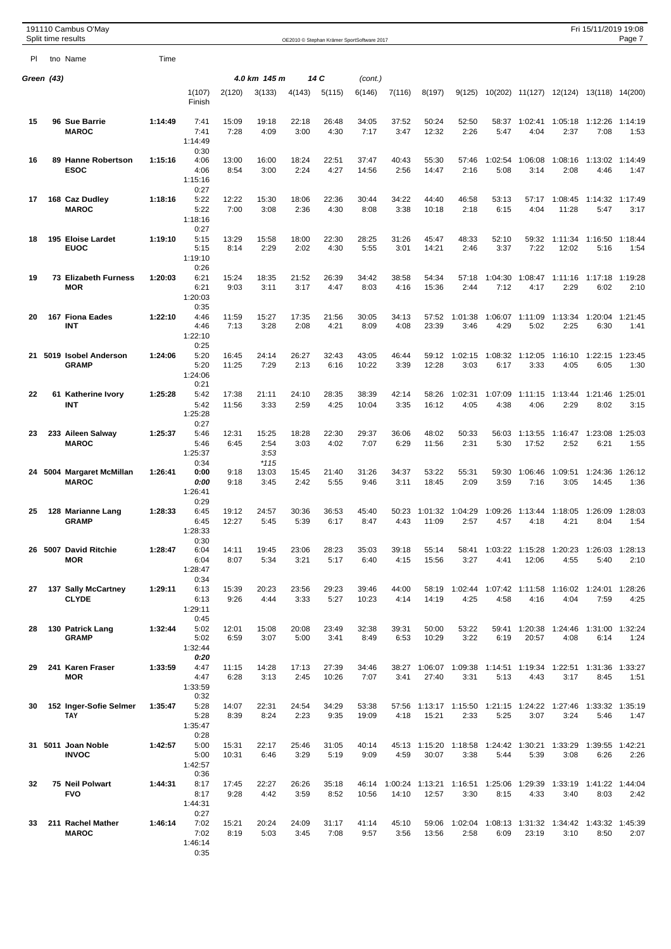|            | 191110 Cambus O'May<br>Split time results |         |                                         |                |                                 |               |                | OE2010 © Stephan Krämer SportSoftware 2017 |               |                        |                                                       |                 |                                  |                                   | Fri 15/11/2019 19:08    | Page 7          |
|------------|-------------------------------------------|---------|-----------------------------------------|----------------|---------------------------------|---------------|----------------|--------------------------------------------|---------------|------------------------|-------------------------------------------------------|-----------------|----------------------------------|-----------------------------------|-------------------------|-----------------|
| PI         | tno Name                                  | Time    |                                         |                |                                 |               |                |                                            |               |                        |                                                       |                 |                                  |                                   |                         |                 |
| Green (43) |                                           |         |                                         |                | 4.0 km 145 m                    |               | 14 C           | (cont.)                                    |               |                        |                                                       |                 |                                  |                                   |                         |                 |
|            |                                           |         | 1(107)<br>Finish                        | 2(120)         | 3(133)                          | 4(143)        | 5(115)         | 6(146)                                     | 7(116)        | 8(197)                 | 9(125)                                                |                 | 10(202) 11(127)                  |                                   | 12(124) 13(118) 14(200) |                 |
| 15         | 96 Sue Barrie<br><b>MAROC</b>             | 1:14:49 | 7:41<br>7:41<br>1:14:49                 | 15:09<br>7:28  | 19:18<br>4:09                   | 22:18<br>3:00 | 26:48<br>4:30  | 34:05<br>7:17                              | 37:52<br>3:47 | 50:24<br>12:32         | 52:50<br>2:26                                         | 58:37<br>5:47   | 1:02:41<br>4:04                  | 1:05:18<br>2:37                   | 1:12:26<br>7:08         | 1:14:19<br>1:53 |
| 16         | 89 Hanne Robertson<br><b>ESOC</b>         | 1:15:16 | 0:30<br>4:06<br>4:06<br>1:15:16<br>0:27 | 13:00<br>8:54  | 16:00<br>3:00                   | 18:24<br>2:24 | 22:51<br>4:27  | 37:47<br>14:56                             | 40:43<br>2:56 | 55:30<br>14:47         | 57:46<br>2:16                                         | 1:02:54<br>5:08 | 1:06:08<br>3:14                  | 1:08:16<br>2:08                   | 1:13:02<br>4:46         | 1:14:49<br>1:47 |
| 17         | 168 Caz Dudley<br><b>MAROC</b>            | 1:18:16 | 5:22<br>5:22<br>1:18:16<br>0:27         | 12:22<br>7:00  | 15:30<br>3:08                   | 18:06<br>2:36 | 22:36<br>4:30  | 30:44<br>8:08                              | 34:22<br>3:38 | 44:40<br>10:18         | 46:58<br>2:18                                         | 53:13<br>6:15   | 57:17<br>4:04                    | 1:08:45<br>11:28                  | 1:14:32<br>5:47         | 1:17:49<br>3:17 |
| 18         | 195 Eloise Lardet<br><b>EUOC</b>          | 1:19:10 | 5:15<br>5:15<br>1:19:10<br>0:26         | 13:29<br>8:14  | 15:58<br>2:29                   | 18:00<br>2:02 | 22:30<br>4:30  | 28:25<br>5:55                              | 31:26<br>3:01 | 45:47<br>14:21         | 48:33<br>2:46                                         | 52:10<br>3:37   | 59:32<br>7:22                    | 1:11:34<br>12:02                  | 1:16:50<br>5:16         | 1:18:44<br>1:54 |
| 19         | <b>73 Elizabeth Furness</b><br><b>MOR</b> | 1:20:03 | 6:21<br>6:21<br>1:20:03<br>0:35         | 15:24<br>9:03  | 18:35<br>3:11                   | 21:52<br>3:17 | 26:39<br>4:47  | 34:42<br>8:03                              | 38:58<br>4:16 | 54:34<br>15:36         | 57:18<br>2:44                                         | 1:04:30<br>7:12 | 1:08:47<br>4:17                  | 1:11:16<br>2:29                   | 1:17:18<br>6:02         | 1:19:28<br>2:10 |
| 20         | 167 Fiona Eades<br><b>INT</b>             | 1:22:10 | 4:46<br>4:46<br>1:22:10<br>0:25         | 11:59<br>7:13  | 15:27<br>3:28                   | 17:35<br>2:08 | 21:56<br>4:21  | 30:05<br>8:09                              | 34:13<br>4:08 | 57:52<br>23:39         | 1:01:38<br>3:46                                       | 4:29            | 1:06:07 1:11:09<br>5:02          | 1:13:34<br>2:25                   | 1:20:04<br>6:30         | 1:21:45<br>1:41 |
| 21         | 5019 Isobel Anderson<br><b>GRAMP</b>      | 1:24:06 | 5:20<br>5:20<br>1:24:06<br>0:21         | 16:45<br>11:25 | 24:14<br>7:29                   | 26:27<br>2:13 | 32:43<br>6:16  | 43:05<br>10:22                             | 46:44<br>3:39 | 59:12<br>12:28         | 1:02:15<br>3:03                                       | 1:08:32<br>6:17 | 1:12:05<br>3:33                  | 1:16:10<br>4:05                   | 1:22:15<br>6:05         | 1:23:45<br>1:30 |
| 22         | 61 Katherine Ivory<br>INT                 | 1:25:28 | 5:42<br>5:42<br>1:25:28<br>0:27         | 17:38<br>11:56 | 21:11<br>3:33                   | 24:10<br>2:59 | 28:35<br>4:25  | 38:39<br>10:04                             | 42:14<br>3:35 | 58:26<br>16:12         | 1:02:31<br>4:05                                       | 1:07:09<br>4:38 | 1:11:15<br>4:06                  | 1:13:44<br>2:29                   | 1:21:46<br>8:02         | 1:25:01<br>3:15 |
| 23         | 233 Aileen Salway<br><b>MAROC</b>         | 1:25:37 | 5:46<br>5:46<br>1:25:37<br>0:34         | 12:31<br>6:45  | 15:25<br>2:54<br>3:53<br>$*115$ | 18:28<br>3:03 | 22:30<br>4:02  | 29:37<br>7:07                              | 36:06<br>6:29 | 48:02<br>11:56         | 50:33<br>2:31                                         | 56:03<br>5:30   | 1:13:55<br>17:52                 | 1:16:47<br>2:52                   | 1:23:08<br>6:21         | 1:25:03<br>1:55 |
| 24         | 5004 Margaret McMillan<br><b>MAROC</b>    | 1:26:41 | 0:00<br>0:00<br>1:26:41<br>0:29         | 9:18<br>9:18   | 13:03<br>3:45                   | 15:45<br>2:42 | 21:40<br>5:55  | 31:26<br>9:46                              | 34:37<br>3:11 | 53:22<br>18:45         | 55:31<br>2:09                                         | 59:30<br>3:59   | 1:06:46<br>7:16                  | 1:09:51<br>3:05                   | 1:24:36<br>14:45        | 1:26:12<br>1:36 |
| 25         | 128 Marianne Lang<br><b>GRAMP</b>         | 1:28:33 | 6:45<br>6:45<br>1:28:33<br>0:30         | 19:12<br>12:27 | 24:57<br>5:45                   | 30:36<br>5:39 | 36:53<br>6:17  | 45:40<br>8:47                              | 50:23<br>4:43 | 1:01:32<br>11:09       | 1:04:29<br>2:57                                       | 1:09:26<br>4:57 | 1:13:44<br>4:18                  | 1:18:05<br>4:21                   | 1:26:09<br>8:04         | 1:28:03<br>1:54 |
|            | 26 5007 David Ritchie<br><b>MOR</b>       | 1:28:47 | 6:04<br>6:04<br>1:28:47<br>0:34         | 14:11<br>8:07  | 19:45<br>5:34                   | 23:06<br>3:21 | 28:23<br>5:17  | 35:03<br>6:40                              | 39:18<br>4:15 | 55:14<br>15:56         | 58:41<br>3:27                                         | 4:41            | 1:03:22 1:15:28<br>12:06         | 1:20:23<br>4:55                   | 1:26:03 1:28:13<br>5:40 | 2:10            |
| 27         | 137 Sally McCartney<br><b>CLYDE</b>       | 1:29:11 | 6:13<br>6:13<br>1:29:11<br>0:45         | 15:39<br>9:26  | 20:23<br>4:44                   | 23:56<br>3:33 | 29:23<br>5:27  | 39:46<br>10:23                             | 44:00<br>4:14 | 58:19<br>14:19         | 1:02:44<br>4:25                                       | 4:58            | 1:07:42 1:11:58<br>4:16          | 1:16:02<br>4:04                   | 1:24:01<br>7:59         | 1:28:26<br>4:25 |
| 28         | 130 Patrick Lang<br><b>GRAMP</b>          | 1:32:44 | 5:02<br>5:02<br>1:32:44<br>0:20         | 12:01<br>6:59  | 15:08<br>3:07                   | 20:08<br>5:00 | 23:49<br>3:41  | 32:38<br>8:49                              | 39:31<br>6:53 | 50:00<br>10:29         | 53:22<br>3:22                                         | 6:19            | 59:41 1:20:38<br>20:57           | 1:24:46<br>4:08                   | 1:31:00 1:32:24<br>6:14 | 1:24            |
| 29         | 241 Karen Fraser<br><b>MOR</b>            | 1:33:59 | 4:47<br>4:47<br>1:33:59<br>0:32         | 11:15<br>6:28  | 14:28<br>3:13                   | 17:13<br>2:45 | 27:39<br>10:26 | 34:46<br>7:07                              | 3:41          | 27:40                  | 38:27 1:06:07 1:09:38<br>3:31                         | 5:13            | 4:43                             | 1:14:51  1:19:34  1:22:51<br>3:17 | 1:31:36 1:33:27<br>8:45 | 1:51            |
| 30         | 152 Inger-Sofie Selmer<br><b>TAY</b>      | 1:35:47 | 5:28<br>5:28<br>1:35:47<br>0:28         | 14:07<br>8:39  | 22:31<br>8:24                   | 24:54<br>2:23 | 34:29<br>9:35  | 53:38<br>19:09                             | 57:56<br>4:18 | 15:21                  | 1:13:17 1:15:50<br>2:33                               | 5:25            | 1:21:15 1:24:22<br>3:07          | 1:27:46<br>3:24                   | 1:33:32 1:35:19<br>5:46 | 1:47            |
| 31         | 5011 Joan Noble<br><b>INVOC</b>           | 1:42:57 | 5:00<br>5:00<br>1:42:57<br>0:36         | 15:31<br>10:31 | 22:17<br>6:46                   | 25:46<br>3:29 | 31:05<br>5:19  | 40:14<br>9:09                              | 4:59          | 45:13 1:15:20<br>30:07 | 1:18:58<br>3:38                                       | 5:44            | 1:24:42 1:30:21<br>5:39          | 1:33:29<br>3:08                   | 1:39:55 1:42:21<br>6:26 | 2:26            |
| 32         | 75 Neil Polwart<br><b>FVO</b>             | 1:44:31 | 8:17<br>8:17<br>1:44:31<br>0:27         | 17:45<br>9:28  | 22:27<br>4:42                   | 26:26<br>3:59 | 35:18<br>8:52  | 10:56                                      | 14:10         | 12:57                  | 46:14 1:00:24 1:13:21 1:16:51 1:25:06 1:29:39<br>3:30 | 8:15            | 4:33                             | 1:33:19<br>3:40                   | 1:41:22 1:44:04<br>8:03 | 2:42            |
| 33         | 211 Rachel Mather<br><b>MAROC</b>         | 1:46:14 | 7:02<br>7:02<br>1:46:14<br>0:35         | 15:21<br>8:19  | 20:24<br>5:03                   | 24:09<br>3:45 | 31:17<br>7:08  | 41:14<br>9:57                              | 45:10<br>3:56 | 59:06<br>13:56         | 1:02:04<br>2:58                                       | 6:09            | 1:08:13 1:31:32 1:34:42<br>23:19 | 3:10                              | 1:43:32 1:45:39<br>8:50 | 2:07            |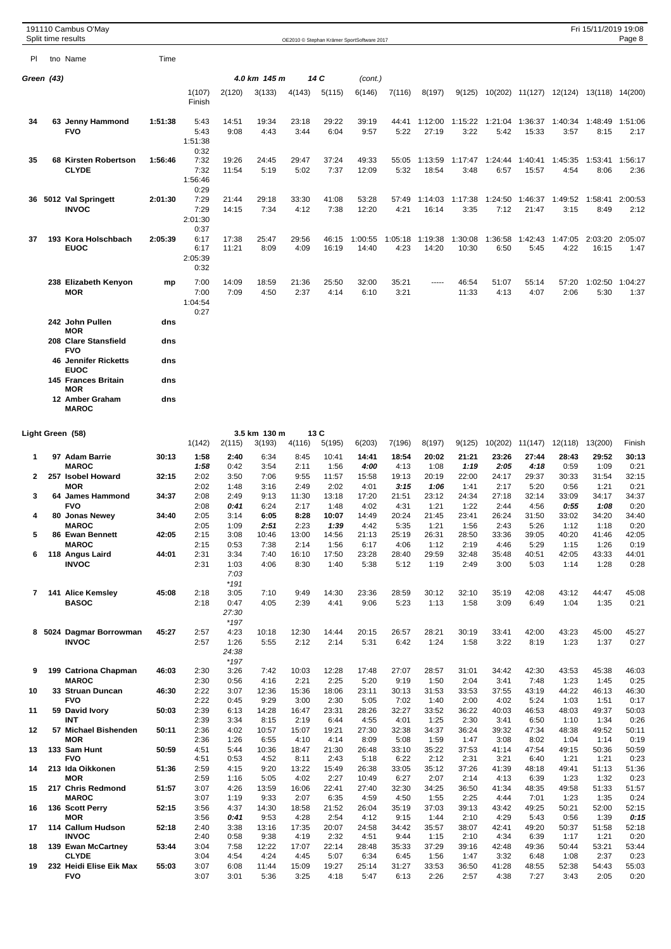|                          | 191110 Cambus O'May<br>Split time results                                |            |                                         |                                 |               |               |                | OE2010 © Stephan Krämer SportSoftware 2017 |                 |                  |                  |                 |                          |                 | Fri 15/11/2019 19:08                    | Page 8          |
|--------------------------|--------------------------------------------------------------------------|------------|-----------------------------------------|---------------------------------|---------------|---------------|----------------|--------------------------------------------|-----------------|------------------|------------------|-----------------|--------------------------|-----------------|-----------------------------------------|-----------------|
| PI                       | tno Name                                                                 | Time       |                                         |                                 |               |               |                |                                            |                 |                  |                  |                 |                          |                 |                                         |                 |
| Green (43)               |                                                                          |            |                                         |                                 | 4.0 km 145 m  |               | 14 C           | (cont.)                                    |                 |                  |                  |                 |                          |                 |                                         |                 |
|                          |                                                                          |            | 1(107)<br>Finish                        | 2(120)                          | 3(133)        | 4(143)        | 5(115)         | 6(146)                                     | 7(116)          | 8(197)           | 9(125)           |                 |                          |                 | 10(202) 11(127) 12(124) 13(118) 14(200) |                 |
| 34                       | 63 Jenny Hammond<br><b>FVO</b>                                           | 1:51:38    | 5:43<br>5:43<br>1:51:38                 | 14:51<br>9:08                   | 19:34<br>4:43 | 23:18<br>3:44 | 29:22<br>6:04  | 39:19<br>9:57                              | 44:41<br>5:22   | 1:12:00<br>27:19 | 1:15:22<br>3:22  | 5:42            | 1:21:04 1:36:37<br>15:33 | 1:40:34<br>3:57 | 1:48:49<br>8:15                         | 1:51:06<br>2:17 |
| 35                       | 68 Kirsten Robertson<br><b>CLYDE</b>                                     | 1:56:46    | 0:32<br>7:32<br>7:32<br>1:56:46         | 19:26<br>11:54                  | 24:45<br>5:19 | 29:47<br>5:02 | 37:24<br>7:37  | 49:33<br>12:09                             | 55:05<br>5:32   | 1:13:59<br>18:54 | 1:17:47<br>3:48  | 1:24:44<br>6:57 | 1:40:41<br>15:57         | 1:45:35<br>4:54 | 1:53:41<br>8:06                         | 1:56:17<br>2:36 |
| 36.                      | 5012 Val Springett<br><b>INVOC</b>                                       | 2:01:30    | 0:29<br>7:29<br>7:29<br>2:01:30         | 21:44<br>14:15                  | 29:18<br>7:34 | 33:30<br>4:12 | 41:08<br>7:38  | 53:28<br>12:20                             | 57:49<br>4:21   | 1:14:03<br>16:14 | 1:17:38<br>3:35  | 1:24:50<br>7:12 | 1:46:37<br>21:47         | 1:49:52<br>3:15 | 1:58:41<br>8:49                         | 2:00:53<br>2:12 |
| 37                       | 193 Kora Holschbach<br><b>EUOC</b>                                       | 2:05:39    | 0:37<br>6:17<br>6:17<br>2:05:39<br>0:32 | 17:38<br>11:21                  | 25:47<br>8:09 | 29:56<br>4:09 | 46:15<br>16:19 | 1:00:55<br>14:40                           | 1:05:18<br>4:23 | 1:19:38<br>14:20 | 1:30:08<br>10:30 | 1:36:58<br>6:50 | 1:42:43<br>5:45          | 1:47:05<br>4:22 | 2:03:20 2:05:07<br>16:15                | 1:47            |
|                          | 238 Elizabeth Kenyon<br><b>MOR</b>                                       | mp         | 7:00<br>7:00<br>1:04:54<br>0:27         | 14:09<br>7:09                   | 18:59<br>4:50 | 21:36<br>2:37 | 25:50<br>4:14  | 32:00<br>6:10                              | 35:21<br>3:21   |                  | 46:54<br>11:33   | 51:07<br>4:13   | 55:14<br>4:07            | 57:20<br>2:06   | 1:02:50<br>5:30                         | 1:04:27<br>1:37 |
|                          | 242 John Pullen                                                          | dns        |                                         |                                 |               |               |                |                                            |                 |                  |                  |                 |                          |                 |                                         |                 |
|                          | <b>MOR</b><br>208 Clare Stansfield<br><b>FVO</b>                         | dns        |                                         |                                 |               |               |                |                                            |                 |                  |                  |                 |                          |                 |                                         |                 |
|                          | <b>46 Jennifer Ricketts</b><br><b>EUOC</b><br><b>145 Frances Britain</b> | dns<br>dns |                                         |                                 |               |               |                |                                            |                 |                  |                  |                 |                          |                 |                                         |                 |
|                          | MOR<br>12 Amber Graham<br><b>MAROC</b>                                   | dns        |                                         |                                 |               |               |                |                                            |                 |                  |                  |                 |                          |                 |                                         |                 |
|                          | Light Green (58)                                                         |            |                                         |                                 | 3.5 km 130 m  |               | 13 C           |                                            |                 |                  |                  |                 |                          |                 |                                         |                 |
|                          |                                                                          |            | 1(142)                                  | 2(115)                          | 3(193)        | 4(116)        | 5(195)         | 6(203)                                     | 7(196)          | 8(197)           | 9(125)           | 10(202)         | 11(147)                  | 12(118)         | 13(200)                                 | Finish          |
| 1                        | 97 Adam Barrie<br><b>MAROC</b>                                           | 30:13      | 1:58<br>1:58                            | 2:40<br>0:42                    | 6:34<br>3:54  | 8:45<br>2:11  | 10:41<br>1:56  | 14:41<br>4:00                              | 18:54<br>4:13   | 20:02<br>1:08    | 21:21<br>1:19    | 23:26<br>2:05   | 27:44<br>4:18            | 28:43<br>0:59   | 29:52<br>1:09                           | 30:13<br>0:21   |
| $\mathbf{2}$             | 257 Isobel Howard<br><b>MOR</b>                                          | 32:15      | 2:02                                    | 3:50                            | 7:06          | 9:55<br>2:49  | 11:57<br>2:02  | 15:58                                      | 19:13<br>3:15   | 20:19<br>1:06    | 22:00            | 24:17<br>2:17   | 29:37<br>5:20            | 30:33           | 31:54<br>1:21                           | 32:15<br>0:21   |
| 3                        | 64 James Hammond                                                         | 34:37      | 2:02<br>2:08                            | 1:48<br>2:49                    | 3:16<br>9:13  | 11:30         | 13:18          | 4:01<br>17:20                              | 21:51           | 23:12            | 1:41<br>24:34    | 27:18           | 32:14                    | 0:56<br>33:09   | 34:17                                   | 34:37           |
| 4                        | <b>FVO</b><br>80 Jonas Newey                                             | 34:40      | 2:08<br>2:05                            | 0:41<br>3:14                    | 6:24<br>6:05  | 2:17<br>8:28  | 1:48<br>10:07  | 4:02<br>14:49                              | 4:31<br>20:24   | 1:21<br>21:45    | 1:22<br>23:41    | 2:44<br>26:24   | 4:56<br>31:50            | 0:55<br>33:02   | 1:08<br>34:20                           | 0:20<br>34:40   |
|                          | <b>MAROC</b>                                                             |            | 2:05                                    | 1:09                            | 2:51          | 2:23          | 1:39           | 4:42                                       | 5:35            | 1:21             | 1:56             | 2:43            | 5:26                     | 1:12            | 1:18                                    | 0:20            |
| 5                        | 86 Ewan Bennett<br><b>MAROC</b>                                          | 42:05      | 2:15<br>2:15                            | 3:08<br>0:53                    | 10:46<br>7:38 | 13:00<br>2:14 | 14:56<br>1:56  | 21:13<br>6:17                              | 25:19<br>4:06   | 26:31<br>1:12    | 28:50<br>2:19    | 33:36<br>4:46   | 39:05<br>5:29            | 40:20<br>1:15   | 41:46<br>1:26                           | 42:05<br>0:19   |
| 6                        | 118 Angus Laird<br><b>INVOC</b>                                          | 44:01      | 2:31<br>2:31                            | 3:34<br>1:03<br>7:03<br>$*191$  | 7:40<br>4:06  | 16:10<br>8:30 | 17:50<br>1:40  | 23:28<br>5:38                              | 28:40<br>5:12   | 29:59<br>1:19    | 32:48<br>2:49    | 35:48<br>3:00   | 40:51<br>5:03            | 42:05<br>1:14   | 43:33<br>1:28                           | 44:01<br>0:28   |
| $\overline{\phantom{a}}$ | 141 Alice Kemsley<br><b>BASOC</b>                                        | 45:08      | 2:18<br>2:18                            | 3:05<br>0:47<br>27:30<br>$*197$ | 7:10<br>4:05  | 9:49<br>2:39  | 14:30<br>4:41  | 23:36<br>9:06                              | 28:59<br>5:23   | 30:12<br>1:13    | 32:10<br>1:58    | 35:19<br>3:09   | 42:08<br>6:49            | 43:12<br>1:04   | 44:47<br>1:35                           | 45:08<br>0:21   |
| 8                        | 5024 Dagmar Borrowman<br><b>INVOC</b>                                    | 45:27      | 2:57<br>2:57                            | 4:23<br>1:26<br>24:38<br>$*197$ | 10:18<br>5:55 | 12:30<br>2:12 | 14:44<br>2:14  | 20:15<br>5:31                              | 26:57<br>6:42   | 28:21<br>1:24    | 30:19<br>1:58    | 33:41<br>3:22   | 42:00<br>8:19            | 43:23<br>1:23   | 45:00<br>1:37                           | 45:27<br>0:27   |
| 9                        | 199 Catriona Chapman<br><b>MAROC</b>                                     | 46:03      | 2:30<br>2:30                            | 3:26<br>0:56                    | 7:42<br>4:16  | 10:03<br>2:21 | 12:28<br>2:25  | 17:48<br>5:20                              | 27:07<br>9:19   | 28:57<br>1:50    | 31:01<br>2:04    | 34:42<br>3:41   | 42:30<br>7:48            | 43:53<br>1:23   | 45:38<br>1:45                           | 46:03<br>0:25   |
| 10                       | 33 Struan Duncan<br><b>FVO</b>                                           | 46:30      | 2:22<br>2:22                            | 3:07<br>0:45                    | 12:36<br>9:29 | 15:36<br>3:00 | 18:06<br>2:30  | 23:11<br>5:05                              | 30:13<br>7:02   | 31:53<br>1:40    | 33:53<br>2:00    | 37:55<br>4:02   | 43:19<br>5:24            | 44:22<br>1:03   | 46:13<br>1:51                           | 46:30<br>0:17   |
| 11                       | 59 David Ivory<br><b>INT</b>                                             | 50:03      | 2:39<br>2:39                            | 6:13<br>3:34                    | 14:28<br>8:15 | 16:47<br>2:19 | 23:31<br>6:44  | 28:26<br>4:55                              | 32:27<br>4:01   | 33:52<br>1:25    | 36:22<br>2:30    | 40:03<br>3:41   | 46:53<br>6:50            | 48:03<br>1:10   | 49:37<br>1:34                           | 50:03<br>0:26   |
| 12                       | 57 Michael Bishenden<br><b>MOR</b>                                       | 50:11      | 2:36<br>2:36                            | 4:02<br>1:26                    | 10:57<br>6:55 | 15:07<br>4:10 | 19:21<br>4:14  | 27:30<br>8:09                              | 32:38<br>5:08   | 34:37<br>1:59    | 36:24<br>1:47    | 39:32<br>3:08   | 47:34<br>8:02            | 48:38<br>1:04   | 49:52<br>1:14                           | 50:11<br>0:19   |
| 13                       | 133 Sam Hunt                                                             | 50:59      | 4:51                                    | 5:44                            | 10:36         | 18:47         | 21:30          | 26:48                                      | 33:10           | 35:22            | 37:53            | 41:14           | 47:54                    | 49:15           | 50:36                                   | 50:59           |
| 14                       | <b>FVO</b><br>213 Ida Oikkonen                                           | 51:36      | 4:51<br>2:59                            | 0:53<br>4:15                    | 4:52<br>9:20  | 8:11<br>13:22 | 2:43<br>15:49  | 5:18<br>26:38                              | 6:22<br>33:05   | 2:12<br>35:12    | 2:31<br>37:26    | 3:21<br>41:39   | 6:40<br>48:18            | 1:21<br>49:41   | 1:21<br>51:13                           | 0:23<br>51:36   |
| 15                       | <b>MOR</b><br>217 Chris Redmond                                          | 51:57      | 2:59<br>3:07                            | 1:16<br>4:26                    | 5:05<br>13:59 | 4:02<br>16:06 | 2:27<br>22:41  | 10:49<br>27:40                             | 6:27<br>32:30   | 2:07<br>34:25    | 2:14<br>36:50    | 4:13<br>41:34   | 6:39<br>48:35            | 1:23<br>49:58   | 1:32<br>51:33                           | 0:23<br>51:57   |
|                          | <b>MAROC</b>                                                             |            | 3:07                                    | 1:19                            | 9:33          | 2:07          | 6:35           | 4:59                                       | 4:50            | 1:55             | 2:25             | 4:44            | 7:01                     | 1:23            | 1:35                                    | 0:24            |
| 16                       | 136 Scott Perry<br><b>MOR</b>                                            | 52:15      | 3:56<br>3:56                            | 4:37<br>0:41                    | 14:30<br>9:53 | 18:58<br>4:28 | 21:52<br>2:54  | 26:04<br>4:12                              | 35:19<br>9:15   | 37:03<br>1:44    | 39:13<br>2:10    | 43:42<br>4:29   | 49:25<br>5:43            | 50:21<br>0:56   | 52:00<br>1:39                           | 52:15<br>0:15   |
| 17                       | 114 Callum Hudson<br><b>INVOC</b>                                        | 52:18      | 2:40<br>2:40                            | 3:38<br>0:58                    | 13:16<br>9:38 | 17:35<br>4:19 | 20:07<br>2:32  | 24:58<br>4:51                              | 34:42<br>9:44   | 35:57<br>1:15    | 38:07<br>2:10    | 42:41<br>4:34   | 49:20<br>6:39            | 50:37<br>1:17   | 51:58<br>1:21                           | 52:18<br>0:20   |
| 18                       | 139 Ewan McCartney                                                       | 53:44      | 3:04                                    | 7:58                            | 12:22         | 17:07         | 22:14          | 28:48                                      | 35:33           | 37:29            | 39:16            | 42:48           | 49:36                    | 50:44           | 53:21                                   | 53:44           |
| 19                       | <b>CLYDE</b><br>232 Heidi Elise Eik Max                                  | 55:03      | 3:04<br>3:07                            | 4:54<br>6:08                    | 4:24<br>11:44 | 4:45<br>15:09 | 5:07<br>19:27  | 6:34<br>25:14                              | 6:45<br>31:27   | 1:56<br>33:53    | 1:47<br>36:50    | 3:32<br>41:28   | 6:48<br>48:55            | 1:08<br>52:38   | 2:37<br>54:43                           | 0:23<br>55:03   |
|                          | <b>FVO</b>                                                               |            | 3:07                                    | 3:01                            | 5:36          | 3:25          | 4:18           | 5:47                                       | 6:13            | 2:26             | 2:57             | 4:38            | 7:27                     | 3:43            | 2:05                                    | 0:20            |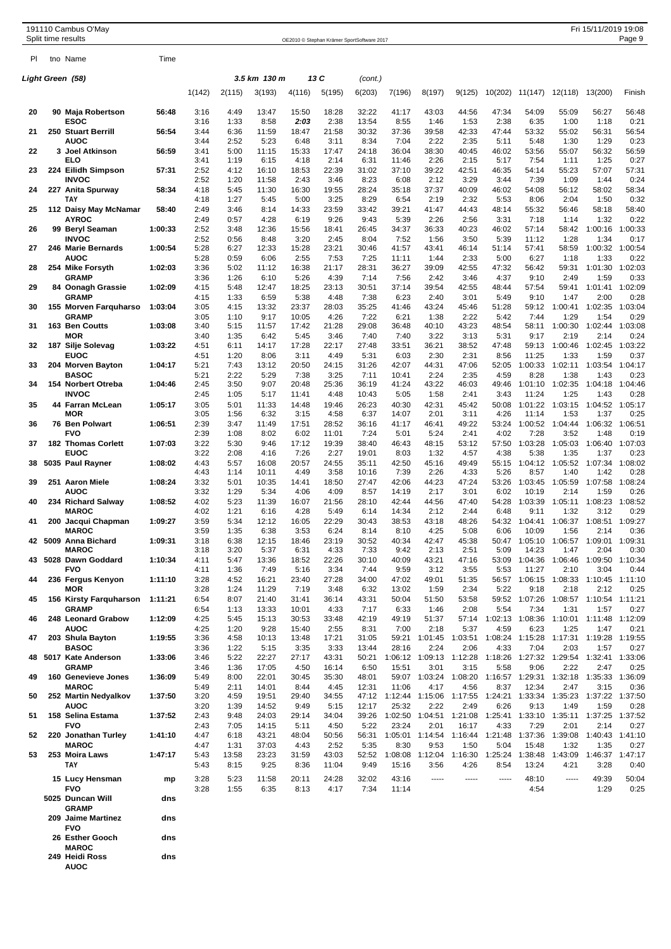|    | 191110 Cambus O'May<br>Split time results |         |              |               |                |                |                | OE2010 © Stephan Krämer SportSoftware 2017 |                         |                                 |                 |                         |                         |                 | Fri 15/11/2019 19:08                                                    | Page 9          |
|----|-------------------------------------------|---------|--------------|---------------|----------------|----------------|----------------|--------------------------------------------|-------------------------|---------------------------------|-----------------|-------------------------|-------------------------|-----------------|-------------------------------------------------------------------------|-----------------|
| PL | tno Name                                  | Time    |              |               |                |                |                |                                            |                         |                                 |                 |                         |                         |                 |                                                                         |                 |
|    | Light Green (58)                          |         |              |               | 3.5 km 130 m   |                | 13 C           | (cont.)                                    |                         |                                 |                 |                         |                         |                 |                                                                         |                 |
|    |                                           |         | 1(142)       | 2(115)        | 3(193)         | 4(116)         | 5(195)         | 6(203)                                     | 7(196)                  | 8(197)                          | 9(125)          | 10(202)                 | 11(147)                 | 12(118)         | 13(200)                                                                 | Finish          |
| 20 | 90 Maja Robertson<br>ESOC                 | 56:48   | 3:16         | 4:49          | 13:47          | 15:50          | 18:28          | 32:22                                      | 41:17                   | 43:03                           | 44:56           | 47:34<br>2:38           | 54:09                   | 55:09           | 56:27                                                                   | 56:48           |
| 21 | <b>250 Stuart Berrill</b>                 | 56:54   | 3:16<br>3:44 | 1:33<br>6:36  | 8:58<br>11:59  | 2:03<br>18:47  | 2:38<br>21:58  | 13:54<br>30:32                             | 8:55<br>37:36           | 1:46<br>39:58                   | 1:53<br>42:33   | 47:44                   | 6:35<br>53:32           | 1:00<br>55:02   | 1:18<br>56:31                                                           | 0:21<br>56:54   |
| 22 | AUOC<br>3 Joel Atkinson                   | 56:59   | 3:44<br>3:41 | 2:52<br>5:00  | 5:23<br>11:15  | 6:48<br>15:33  | 3:11<br>17:47  | 8:34<br>24:18                              | 7:04<br>36:04           | 2:22<br>38:30                   | 2:35<br>40:45   | 5:11<br>46:02           | 5:48<br>53:56           | 1:30<br>55:07   | 1:29<br>56:32                                                           | 0:23<br>56:59   |
|    | ELO                                       |         | 3:41         | 1:19          | 6:15           | 4:18           | 2:14           | 6:31                                       | 11:46                   | 2:26                            | 2:15            | 5:17                    | 7:54                    | 1:11            | 1:25                                                                    | 0:27            |
| 23 | 224 Eilidh Simpson<br><b>INVOC</b>        | 57:31   | 2:52<br>2:52 | 4:12<br>1:20  | 16:10<br>11:58 | 18:53<br>2:43  | 22:39<br>3:46  | 31:02<br>8:23                              | 37:10<br>6:08           | 39:22<br>2:12                   | 42:51<br>3:29   | 46:35<br>3:44           | 54:14<br>7:39           | 55:23<br>1:09   | 57:07<br>1:44                                                           | 57:31<br>0:24   |
| 24 | 227 Anita Spurway                         | 58:34   | 4:18         | 5:45          | 11:30          | 16:30          | 19:55          | 28:24                                      | 35:18                   | 37:37                           | 40:09           | 46:02                   | 54:08                   | 56:12           | 58:02                                                                   | 58:34           |
| 25 | TAY<br>112 Daisy May McNamar              | 58:40   | 4:18<br>2:49 | 1:27<br>3:46  | 5:45<br>8:14   | 5:00<br>14:33  | 3:25<br>23:59  | 8:29<br>33:42                              | 6:54<br>39:21           | 2:19<br>41:47                   | 2:32<br>44:43   | 5:53<br>48:14           | 8:06<br>55:32           | 2:04<br>56:46   | 1:50<br>58:18                                                           | 0:32<br>58:40   |
|    | <b>AYROC</b>                              |         | 2:49         | 0:57          | 4:28           | 6:19           | 9:26           | 9:43                                       | 5:39                    | 2:26                            | 2:56            | 3:31                    | 7:18                    | 1:14            | 1:32                                                                    | 0:22            |
| 26 | 99 Beryl Seaman<br><b>INVOC</b>           | 1:00:33 | 2:52<br>2:52 | 3:48<br>0:56  | 12:36<br>8:48  | 15:56<br>3:20  | 18:41<br>2:45  | 26:45<br>8:04                              | 34:37<br>7:52           | 36:33<br>1:56                   | 40:23<br>3:50   | 46:02<br>5:39           | 57:14<br>11:12          | 58:42<br>1:28   | 1:00:16<br>1:34                                                         | 1:00:33<br>0:17 |
| 27 | 246 Marie Bernards<br>AUOC                | 1:00:54 | 5:28<br>5:28 | 6:27<br>0:59  | 12:33<br>6:06  | 15:28<br>2:55  | 23:21<br>7:53  | 30:46<br>7:25                              | 41:57<br>11:11          | 43:41<br>1:44                   | 46:14<br>2:33   | 51:14<br>5:00           | 57:41<br>6:27           | 58:59<br>1:18   | 1:00:32<br>1:33                                                         | 1:00:54<br>0:22 |
| 28 | 254 Mike Forsyth                          | 1:02:03 | 3:36         | 5:02          | 11:12          | 16:38          | 21:17          | 28:31                                      | 36:27                   | 39:09                           | 42:55           | 47:32                   | 56:42                   | 59:31           | 1:01:30                                                                 | 1:02:03         |
| 29 | <b>GRAMP</b><br>84 Oonagh Grassie         | 1:02:09 | 3:36<br>4:15 | 1:26<br>5:48  | 6:10<br>12:47  | 5:26<br>18:25  | 4:39<br>23:13  | 7:14<br>30:51                              | 7:56<br>37:14           | 2:42<br>39:54                   | 3:46<br>42:55   | 4:37<br>48:44           | 9:10<br>57:54           | 2:49<br>59:41   | 1:59<br>1:01:41                                                         | 0:33<br>1:02:09 |
|    | <b>GRAMP</b>                              |         | 4:15         | 1:33          | 6:59           | 5:38           | 4:48           | 7:38                                       | 6:23                    | 2:40                            | 3:01            | 5:49                    | 9:10                    | 1:47            | 2:00                                                                    | 0:28            |
| 30 | 155 Morven Farguharso<br><b>GRAMP</b>     | 1:03:04 | 3:05<br>3:05 | 4:15<br>1:10  | 13:32<br>9:17  | 23:37<br>10:05 | 28:03<br>4:26  | 35:25<br>7:22                              | 41:46<br>6:21           | 43:24<br>1:38                   | 45:46<br>2:22   | 51:28<br>5:42           | 59:12<br>7:44           | 1:00:41<br>1:29 | 1:02:35<br>1:54                                                         | 1:03:04<br>0:29 |
| 31 | 163 Ben Coutts                            | 1:03:08 | 3:40         | 5:15          | 11:57          | 17:42          | 21:28          | 29:08                                      | 36:48                   | 40:10                           | 43:23           | 48:54                   | 58:11                   | 1:00:30         | 1:02:44                                                                 | 1:03:08         |
| 32 | MOR<br>187 Silje Solevag                  | 1:03:22 | 3:40<br>4:51 | 1:35<br>6:11  | 6:42<br>14:17  | 5:45<br>17:28  | 3:46<br>22:17  | 7:40<br>27:48                              | 7:40<br>33:51           | 3:22<br>36:21                   | 3:13<br>38:52   | 5:31<br>47:48           | 9:17<br>59:13           | 2:19<br>1:00:46 | 2:14<br>1:02:45                                                         | 0:24<br>1:03:22 |
|    | EUOC                                      |         | 4:51         | 1:20          | 8:06           | 3:11           | 4:49           | 5:31                                       | 6:03                    | 2:30                            | 2:31            | 8:56                    | 11:25                   | 1:33            | 1:59                                                                    | 0:37            |
| 33 | 204 Morven Bayton<br><b>BASOC</b>         | 1:04:17 | 5:21<br>5:21 | 7:43<br>2:22  | 13:12<br>5:29  | 20:50<br>7:38  | 24:15<br>3:25  | 31:26<br>7:11                              | 42:07<br>10:41          | 44:31<br>2:24                   | 47:06<br>2:35   | 52:05<br>4:59           | 1:00:33<br>8:28         | 1:02:11<br>1:38 | 1:03:54<br>1:43                                                         | 1:04:17<br>0:23 |
| 34 | 154 Norbert Otreba<br><b>INVOC</b>        | 1:04:46 | 2:45<br>2:45 | 3:50<br>1:05  | 9:07<br>5:17   | 20:48<br>11:41 | 25:36<br>4:48  | 36:19<br>10:43                             | 41:24<br>5:05           | 43:22<br>1:58                   | 46:03<br>2:41   | 49:46<br>3:43           | 1:01:10<br>11:24        | 1:02:35<br>1:25 | 1:04:18<br>1:43                                                         | 1:04:46<br>0:28 |
| 35 | 44 Farran McLean                          | 1:05:17 | 3:05         | 5:01          | 11:33          | 14:48          | 19:46          | 26:23                                      | 40:30                   | 42:31                           | 45:42           | 50:08                   | 1:01:22                 | 1:03:15         | 1:04:52                                                                 | 1:05:17         |
| 36 | MOR<br>76 Ben Polwart                     | 1:06:51 | 3:05<br>2:39 | 1:56<br>3:47  | 6:32<br>11:49  | 3:15<br>17:51  | 4:58<br>28:52  | 6:37<br>36:16                              | 14:07<br>41:17          | 2:01<br>46:41                   | 3:11<br>49:22   | 4:26<br>53:24           | 11:14<br>1:00:52        | 1:53<br>1:04:44 | 1:37<br>1:06:32                                                         | 0:25<br>1:06:51 |
|    | <b>FVO</b>                                |         | 2:39         | 1:08          | 8:02           | 6:02           | 11:01          | 7:24                                       | 5:01                    | 5:24                            | 2:41            | 4:02                    | 7:28                    | 3:52            | 1:48                                                                    | 0:19            |
| 37 | <b>182 Thomas Corlett</b><br><b>EUOC</b>  | 1:07:03 | 3:22<br>3:22 | 5:30<br>2:08  | 9:46<br>4:16   | 17:12<br>7:26  | 19:39<br>2:27  | 38:40<br>19:01                             | 46:43<br>8:03           | 48:15<br>1:32                   | 53:12<br>4:57   | 57:50<br>4:38           | 1:03:28<br>5:38         | 1:05:03<br>1:35 | 1:06:40<br>1:37                                                         | 1:07:03<br>0:23 |
| 38 | 5035 Paul Rayner                          | 1:08:02 | 4:43         | 5:57          | 16:08          | 20:57          | 24:55          | 35:11                                      | 42:50                   | 45:16                           | 49:49           | 55:15                   | 1:04:12                 | 1:05:52         | 1:07:34                                                                 | 1:08:02         |
| 39 | 251 Aaron Miele                           | 1:08:24 | 4:43<br>3:32 | 1:14<br>5:01  | 10:11<br>10:35 | 4:49<br>14:41  | 3:58<br>18:50  | 10:16<br>27:47                             | 7:39<br>42:06           | 2:26<br>44:23                   | 4:33<br>47:24   | 5:26<br>53:26           | 8:57<br>1:03:45         | 1:40<br>1:05:59 | 1:42<br>1:07:58                                                         | 0:28<br>1:08:24 |
|    | AUOC                                      |         | 3:32         | 1:29          | 5:34           | 4:06           | 4:09           | 8:57                                       | 14:19                   | 2:17                            | 3:01            | 6:02                    | 10:19                   | 2:14            | 1:59                                                                    | 0:26            |
| 40 | 234 Richard Salway<br><b>MAROC</b>        | 1:08:52 | 4:02<br>4:02 | 5:23<br>1:21  | 11:39<br>6:16  | 16:07<br>4:28  | 21:56<br>5:49  | 28:10<br>6:14                              | 42:44<br>14:34          | 44:56<br>2:12                   | 47:40<br>2:44   | 54:28<br>6:48           | 1:03:39<br>9:11         | 1:05:11<br>1:32 | 1:08:23<br>3:12                                                         | 1:08:52<br>0:29 |
| 41 | 200 Jacqui Chapman<br><b>MAROC</b>        | 1:09:27 | 3:59<br>3:59 | 5:34<br>1:35  | 12:12<br>6:38  | 16:05<br>3:53  | 22:29<br>6:24  | 30:43<br>8:14                              | 38:53<br>8:10           | 43:18<br>4:25                   | 48:26<br>5:08   | 6:06                    | 54:32 1:04:41<br>10:09  | 1:06:37<br>1:56 | 1:08:51<br>2:14                                                         | 1:09:27<br>0:36 |
|    | 42 5009 Anna Bichard                      | 1:09:31 | 3:18         | 6:38          | 12:15          | 18:46          | 23:19          | 30:52                                      | 40:34                   | 42:47                           | 45:38           |                         |                         |                 | 50:47 1:05:10 1:06:57 1:09:01 1:09:31                                   |                 |
|    | <b>MAROC</b><br>43 5028 Dawn Goddard      | 1:10:34 | 3:18<br>4:11 | 3:20<br>5:47  | 5:37<br>13:36  | 6:31<br>18:52  | 4:33<br>22:26  | 7:33<br>30:10                              | 9:42<br>40:09           | 2:13<br>43:21                   | 2:51<br>47:16   | 5:09<br>53:09           | 14:23<br>1:04:36        | 1:47            | 2:04<br>1:06:46 1:09:50 1:10:34                                         | 0:30            |
|    | <b>FVO</b>                                |         | 4:11         | 1:36          | 7:49           | 5:16           | 3:34           | 7:44                                       | 9:59                    | 3:12                            | 3:55            | 5:53                    | 11:27                   | 2:10            | 3:04                                                                    | 0:44            |
| 44 | 236 Fergus Kenyon<br><b>MOR</b>           | 1:11:10 | 3:28<br>3:28 | 4:52<br>1:24  | 16:21<br>11:29 | 23:40<br>7:19  | 27:28<br>3:48  | 34:00<br>6:32                              | 47:02<br>13:02          | 49:01<br>1:59                   | 51:35<br>2:34   | 5:22                    | 9:18                    | 2:18            | 56:57 1:06:15 1:08:33 1:10:45 1:11:10<br>2:12                           | 0:25            |
| 45 | 156 Kirsty Farquharson                    | 1:11:21 | 6:54         | 8:07          | 21:40          | 31:41          | 36:14          | 43:31                                      | 50:04                   | 51:50                           | 53:58           |                         | 59:52 1:07:26           |                 | 1:08:57 1:10:54 1:11:21                                                 |                 |
| 46 | <b>GRAMP</b><br>248 Leonard Grabow        | 1:12:09 | 6:54<br>4:25 | 1:13<br>5:45  | 13:33<br>15:13 | 10:01<br>30:53 | 4:33<br>33:48  | 7:17<br>42:19                              | 6:33<br>49:19           | 1:46<br>51:37                   | 2:08<br>57:14   | 5:54                    | 7:34<br>1:02:13 1:08:36 | 1:31<br>1:10:01 | 1:57<br>1:11:48                                                         | 0:27<br>1:12:09 |
| 47 | AUOC<br>203 Shula Bayton                  | 1:19:55 | 4:25<br>3:36 | 1:20<br>4:58  | 9:28<br>10:13  | 15:40<br>13:48 | 2:55<br>17:21  | 8:31<br>31:05                              | 7:00<br>59:21           | 2:18<br>1:01:45                 | 5:37<br>1:03:51 | 4:59<br>1:08:24         | 6:23<br>1:15:28         | 1:25<br>1:17:31 | 1:47<br>1:19:28                                                         | 0:21<br>1:19:55 |
|    | <b>BASOC</b>                              |         | 3:36         | 1:22          | 5:15           | 3:35           | 3:33           | 13:44                                      | 28:16                   | 2:24                            | 2:06            | 4:33                    | 7:04                    | 2:03            | 1:57                                                                    | 0:27            |
| 48 | 5017 Kate Anderson<br><b>GRAMP</b>        | 1:33:06 | 3:46<br>3:46 | 5:22<br>1:36  | 22:27<br>17:05 | 27:17<br>4:50  | 43:31<br>16:14 | 50:21<br>6:50                              | 15:51                   | 1:06:12 1:09:13 1:12:28<br>3:01 | 3:15            | 1:18:26<br>5:58         | 1:27:32<br>9:06         | 1:29:54<br>2:22 | 1:32:41<br>2:47                                                         | 1:33:06<br>0:25 |
| 49 | 160 Genevieve Jones                       | 1:36:09 | 5:49         | 8:00          | 22:01          | 30:45          | 35:30          | 48:01                                      |                         | 59:07 1:03:24 1:08:20           |                 |                         |                         |                 | 1:16:57 1:29:31 1:32:18 1:35:33 1:36:09                                 |                 |
| 50 | <b>MAROC</b><br>252 Martin Nedyalkov      | 1:37:50 | 5:49<br>3:20 | 2:11<br>4:59  | 14:01<br>19:51 | 8:44<br>29:40  | 4:45<br>34:55  | 12:31<br>47:12                             | 11:06                   | 4:17                            | 4:56            | 8:37                    | 12:34                   | 2:47            | 3:15<br>1:12:44 1:15:06 1:17:55 1:24:21 1:33:34 1:35:23 1:37:22 1:37:50 | 0:36            |
|    | <b>AUOC</b>                               |         | 3:20         | 1:39          | 14:52          | 9:49           | 5:15           | 12:17                                      | 25:32                   | 2:22                            | 2:49            | 6:26                    | 9:13                    | 1:49            | 1:59                                                                    | 0:28            |
| 51 | 158 Selina Estama<br><b>FVO</b>           | 1:37:52 | 2:43<br>2:43 | 9:48<br>7:05  | 24:03<br>14:15 | 29:14<br>5:11  | 34:04<br>4:50  | 39:26<br>5:22                              | 23:24                   | 2:01                            | 16:17           | 4:33                    | 7:29                    | 2:01            | 1:02:50 1:04:51 1:21:08 1:25:41 1:33:10 1:35:11 1:37:25 1:37:52<br>2:14 | 0:27            |
| 52 | 220 Jonathan Turley<br><b>MAROC</b>       | 1:41:10 | 4:47         | 6:18          | 43:21          | 48:04          | 50:56          | 56:31<br>5:35                              | 1:05:01 1:14:54<br>8:30 | 9:53                            | 1:50            | 1:16:44 1:21:48<br>5:04 | 1:37:36                 | 1:39:08<br>1:32 | 1:40:43 1:41:10<br>1:35                                                 |                 |
| 53 | 253 Moira Laws                            | 1:47:17 | 4:47<br>5:43 | 1:31<br>13:58 | 37:03<br>23:23 | 4:43<br>31:59  | 2:52<br>43:03  | 52:52                                      |                         | 1:08:08 1:12:04                 | 1:16:30         | 1:25:24                 | 15:48<br>1:38:48        | 1:43:09         | 1:46:37                                                                 | 0:27<br>1:47:17 |
|    | <b>TAY</b>                                |         | 5:43         | 8:15          | 9:25           | 8:36           | 11:04          | 9:49                                       | 15:16                   | 3:56                            | 4:26            | 8:54                    | 13:24                   | 4:21            | 3:28                                                                    | 0:40            |
|    | 15 Lucy Hensman<br><b>FVO</b>             | mp      | 3:28<br>3:28 | 5:23<br>1:55  | 11:58<br>6:35  | 20:11<br>8:13  | 24:28<br>4:17  | 32:02<br>7:34                              | 43:16<br>11:14          | -----                           | -----           | -----                   | 48:10<br>4:54           | -----           | 49:39<br>1:29                                                           | 50:04<br>0:25   |
|    | 5025 Duncan Will                          | dns     |              |               |                |                |                |                                            |                         |                                 |                 |                         |                         |                 |                                                                         |                 |
|    | <b>GRAMP</b><br>209 Jaime Martinez        | dns     |              |               |                |                |                |                                            |                         |                                 |                 |                         |                         |                 |                                                                         |                 |
|    | <b>FVO</b>                                |         |              |               |                |                |                |                                            |                         |                                 |                 |                         |                         |                 |                                                                         |                 |
|    | 26 Esther Gooch<br><b>MAROC</b>           | dns     |              |               |                |                |                |                                            |                         |                                 |                 |                         |                         |                 |                                                                         |                 |
|    | 249 Heidi Ross<br><b>AUOC</b>             | dns     |              |               |                |                |                |                                            |                         |                                 |                 |                         |                         |                 |                                                                         |                 |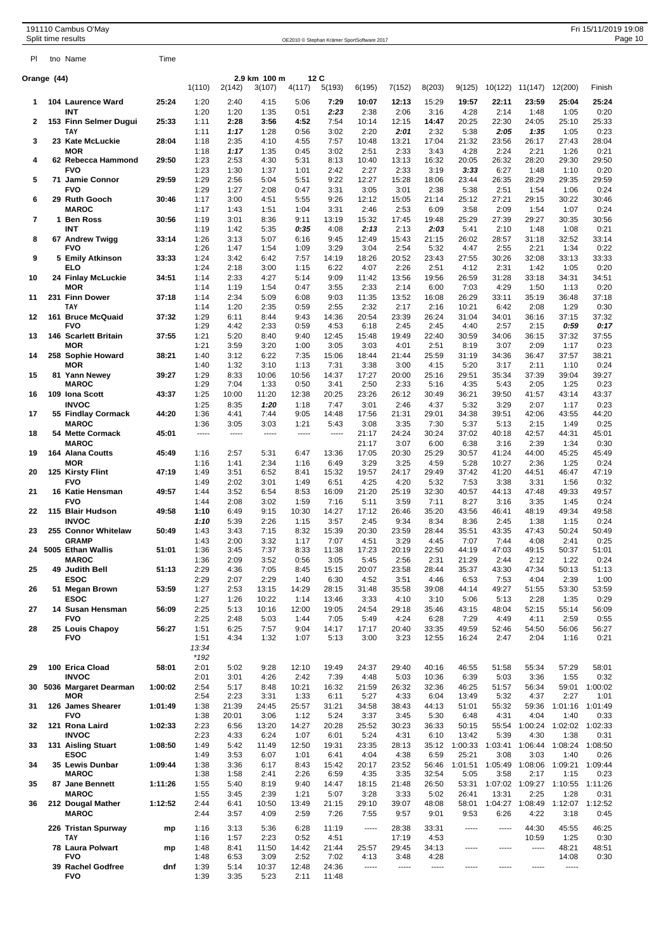|             |     | 191110 Cambus O'May<br>Split time results |         |                |               |                        |               |                | OE2010 © Stephan Krämer SportSoftware 2017 |               |                |                  |                 |                         |                 | Fri 15/11/2019 19:08 | Page 10 |
|-------------|-----|-------------------------------------------|---------|----------------|---------------|------------------------|---------------|----------------|--------------------------------------------|---------------|----------------|------------------|-----------------|-------------------------|-----------------|----------------------|---------|
| PI.         |     | tno Name                                  | Time    |                |               |                        |               |                |                                            |               |                |                  |                 |                         |                 |                      |         |
| Orange (44) |     |                                           |         | 1(110)         | 2(142)        | 2.9 km 100 m<br>3(107) | 12C<br>4(117) | 5(193)         | 6(195)                                     | 7(152)        | 8(203)         | 9(125)           |                 | 10(122) 11(147)         | 12(200)         | Finish               |         |
| 1           |     | 104 Laurence Ward                         | 25:24   | 1:20           | 2:40          | 4:15                   | 5:06          | 7:29           | 10:07                                      | 12:13         | 15:29          | 19:57            | 22:11           | 23:59                   | 25:04           | 25:24                |         |
|             |     | INT                                       |         | 1:20           | 1:20          | 1:35                   | 0:51          | 2:23           | 2:38                                       | 2:06          | 3:16           | 4:28             | 2:14            | 1:48                    | 1:05            | 0:20                 |         |
| 2           |     | 153 Finn Selmer Dugui<br>ΤΑΥ              | 25:33   | 1:11<br>1:11   | 2:28<br>1:17  | 3:56<br>1:28           | 4:52<br>0:56  | 7:54<br>3:02   | 10:14<br>2:20                              | 12:15<br>2:01 | 14:47<br>2:32  | 20:25<br>5:38    | 22:30<br>2:05   | 24:05<br>1:35           | 25:10<br>1:05   | 25:33<br>0:23        |         |
| 3           |     | 23 Kate McLuckie                          | 28:04   | 1:18           | 2:35          | 4:10                   | 4:55          | 7:57           | 10:48                                      | 13:21         | 17:04          | 21:32            | 23:56           | 26:17                   | 27:43           | 28:04                |         |
| 4           |     | <b>MOR</b><br>62 Rebecca Hammond          | 29:50   | 1:18<br>1:23   | 1:17<br>2:53  | 1:35<br>4:30           | 0:45<br>5:31  | 3:02<br>8:13   | 2:51<br>10:40                              | 2:33<br>13:13 | 3:43<br>16:32  | 4:28<br>20:05    | 2:24<br>26:32   | 2:21<br>28:20           | 1:26<br>29:30   | 0:21<br>29:50        |         |
|             |     | <b>FVO</b>                                |         | 1:23           | 1:30          | 1:37                   | 1:01          | 2:42           | 2:27                                       | 2:33          | 3:19           | 3:33             | 6:27            | 1:48                    | 1:10            | 0:20                 |         |
| 5           |     | 71 Jamie Connor<br><b>FVO</b>             | 29:59   | 1:29<br>1:29   | 2:56<br>1:27  | 5:04<br>2:08           | 5:51<br>0:47  | 9:22<br>3:31   | 12:27<br>3:05                              | 15:28<br>3:01 | 18:06<br>2:38  | 23:44<br>5:38    | 26:35<br>2:51   | 28:29<br>1:54           | 29:35<br>1:06   | 29:59<br>0:24        |         |
| 6           |     | 29 Ruth Gooch                             | 30:46   | 1:17           | 3:00          | 4:51                   | 5:55          | 9:26           | 12:12                                      | 15:05         | 21:14          | 25:12            | 27:21           | 29:15                   | 30:22           | 30:46                |         |
| 7           |     | <b>MAROC</b><br>1 Ben Ross                | 30:56   | 1:17<br>1:19   | 1:43<br>3:01  | 1:51<br>8:36           | 1:04<br>9:11  | 3:31<br>13:19  | 2:46<br>15:32                              | 2:53<br>17:45 | 6:09<br>19:48  | 3:58<br>25:29    | 2:09<br>27:39   | 1:54<br>29:27           | 1:07<br>30:35   | 0:24<br>30:56        |         |
|             |     | INT                                       |         | 1:19           | 1:42          | 5:35                   | 0:35          | 4:08           | 2:13                                       | 2:13          | 2:03           | 5:41             | 2:10            | 1:48                    | 1:08            | 0:21                 |         |
| 8           |     | 67 Andrew Twigg<br>FVO                    | 33:14   | 1:26<br>1:26   | 3:13<br>1:47  | 5:07<br>1:54           | 6:16<br>1:09  | 9:45<br>3:29   | 12:49<br>3:04                              | 15:43<br>2:54 | 21:15<br>5:32  | 26:02<br>4:47    | 28:57<br>2:55   | 31:18<br>2:21           | 32:52<br>1:34   | 33:14<br>0:22        |         |
| 9           |     | 5 Emily Atkinson                          | 33:33   | 1:24           | 3:42          | 6:42                   | 7:57          | 14:19          | 18:26                                      | 20:52         | 23:43          | 27:55            | 30:26           | 32:08                   | 33:13           | 33:33                |         |
| 10          |     | ELO<br>24 Finlay McLuckie                 | 34:51   | 1:24<br>1:14   | 2:18<br>2:33  | 3:00<br>4:27           | 1:15<br>5:14  | 6:22<br>9:09   | 4:07<br>11:42                              | 2:26<br>13:56 | 2:51<br>19:56  | 4:12<br>26:59    | 2:31<br>31:28   | 1:42<br>33:18           | 1:05<br>34:31   | 0:20<br>34:51        |         |
|             |     | MOR                                       |         | 1:14           | 1:19          | 1:54                   | 0:47          | 3:55           | 2:33                                       | 2:14          | 6:00           | 7:03             | 4:29            | 1:50                    | 1:13            | 0:20                 |         |
| 11          |     | 231 Finn Dower<br><b>TAY</b>              | 37:18   | 1:14<br>1:14   | 2:34<br>1:20  | 5:09<br>2:35           | 6:08<br>0:59  | 9:03<br>2:55   | 11:35<br>2:32                              | 13:52<br>2:17 | 16:08<br>2:16  | 26:29<br>10:21   | 33:11<br>6:42   | 35:19<br>2:08           | 36:48<br>1:29   | 37:18<br>0:30        |         |
| 12          |     | 161 Bruce McQuaid                         | 37:32   | 1:29           | 6:11          | 8:44                   | 9:43          | 14:36          | 20:54                                      | 23:39         | 26:24          | 31:04            | 34:01           | 36:16                   | 37:15           | 37:32                |         |
| 13          |     | <b>FVO</b><br>146 Scarlett Britain        | 37:55   | 1:29<br>1:21   | 4:42<br>5:20  | 2:33<br>8:40           | 0:59<br>9:40  | 4:53<br>12:45  | 6:18<br>15:48                              | 2:45<br>19:49 | 2:45<br>22:40  | 4:40<br>30:59    | 2:57<br>34:06   | 2:15<br>36:15           | 0.59<br>37:32   | 0:17<br>37:55        |         |
|             |     | <b>MOR</b>                                |         | 1:21           | 3:59          | 3:20                   | 1:00          | 3:05           | 3:03                                       | 4:01          | 2:51           | 8:19             | 3:07            | 2:09                    | 1:17            | 0:23                 |         |
| 14          |     | 258 Sophie Howard<br><b>MOR</b>           | 38:21   | 1:40<br>1:40   | 3:12<br>1:32  | 6:22<br>3:10           | 7:35<br>1:13  | 15:06<br>7:31  | 18:44<br>3:38                              | 21:44<br>3:00 | 25:59<br>4:15  | 31:19<br>5:20    | 34:36<br>3:17   | 36:47<br>2:11           | 37:57<br>1:10   | 38:21<br>0:24        |         |
| 15          |     | 81 Yann Newey                             | 39:27   | 1:29           | 8:33          | 10:06                  | 10:56         | 14:37          | 17:27                                      | 20:00         | 25:16          | 29:51            | 35:34           | 37:39                   | 39:04           | 39:27                |         |
|             |     | <b>MAROC</b>                              |         | 1:29           | 7:04          | 1:33                   | 0:50          | 3:41           | 2:50                                       | 2:33          | 5:16           | 4:35             | 5:43            | 2:05                    | 1:25            | 0:23                 |         |
| 16          |     | 109 Iona Scott<br><b>INVOC</b>            | 43:37   | 1:25<br>1:25   | 10:00<br>8:35 | 11:20<br>1:20          | 12:38<br>1:18 | 20:25<br>7:47  | 23:26<br>3:01                              | 26:12<br>2:46 | 30:49<br>4:37  | 36:21<br>5:32    | 39:50<br>3:29   | 41:57<br>2:07           | 43:14<br>1:17   | 43:37<br>0:23        |         |
| 17          |     | 55 Findlay Cormack                        | 44:20   | 1:36           | 4:41          | 7:44                   | 9:05          | 14:48          | 17:56                                      | 21:31         | 29:01          | 34:38            | 39:51           | 42:06                   | 43:55           | 44:20                |         |
| 18          |     | <b>MAROC</b><br>54 Mette Cormack          | 45:01   | 1:36<br>-----  | 3:05<br>----- | 3:03<br>-----          | 1:21<br>----- | 5:43<br>-----  | 3:08<br>21:17                              | 3:35<br>24:24 | 7:30<br>30:24  | 5:37<br>37:02    | 5:13<br>40:18   | 2:15<br>42:57           | 1:49<br>44:31   | 0:25<br>45:01        |         |
|             |     | <b>MAROC</b>                              |         |                |               |                        |               |                | 21:17                                      | 3:07          | 6:00           | 6:38             | 3:16            | 2:39                    | 1:34            | 0:30                 |         |
| 19          |     | 164 Alana Coutts<br><b>MOR</b>            | 45:49   | 1:16<br>1:16   | 2:57<br>1:41  | 5:31<br>2:34           | 6:47<br>1:16  | 13:36<br>6:49  | 17:05<br>3:29                              | 20:30<br>3:25 | 25:29<br>4:59  | 30:57<br>5:28    | 41:24<br>10:27  | 44:00<br>2:36           | 45:25<br>1:25   | 45:49<br>0:24        |         |
| 20          |     | 125 Kirsty Flint                          | 47:19   | 1:49           | 3:51          | 6:52                   | 8:41          | 15:32          | 19:57                                      | 24:17         | 29:49          | 37:42            | 41:20           | 44:51                   | 46:47           | 47:19                |         |
| 21          |     | <b>FVO</b><br>16 Katie Hensman            | 49:57   | 1:49<br>1:44   | 2:02<br>3:52  | 3:01<br>6:54           | 1:49<br>8:53  | 6:51<br>16:09  | 4:25<br>21:20                              | 4:20<br>25:19 | 5:32<br>32:30  | 7:53<br>40:57    | 3:38<br>44:13   | 3:31<br>47:48           | 1:56<br>49:33   | 0:32<br>49:57        |         |
|             |     | <b>FVO</b>                                |         | 1:44           | 2:08          | 3:02                   | 1:59          | 7:16           | 5:11                                       | 3:59          | 7:11           | 8:27             | 3:16            | 3:35                    | 1:45            | 0:24                 |         |
| 22          |     | 115 Blair Hudson<br><b>INVOC</b>          | 49:58   | 1:10<br>1:10   | 6:49<br>5:39  | 9:15<br>2:26           | 10:30<br>1:15 | 14:27<br>3:57  | 17:12<br>2:45                              | 26:46<br>9:34 | 35:20<br>8:34  | 43:56<br>8:36    | 46:41<br>2:45   | 48:19<br>1:38           | 49:34<br>1:15   | 49:58<br>0:24        |         |
| 23          | 255 | <b>Connor Whitelaw</b>                    | 50:49   | 1:43           | 3:43          | 7:15                   | 8:32          | 15:39          | 20:30                                      | 23:59         | 28:44          | 35:51            | 43:35           | 47:43                   | 50:24           | 50:49                |         |
| 24          |     | <b>GRAMP</b><br>5005 Ethan Wallis         | 51:01   | 1:43<br>1:36   | 2:00<br>3:45  | 3:32<br>7:37           | 1:17<br>8:33  | 7:07<br>11:38  | 4:51<br>17:23                              | 3:29<br>20:19 | 4:45<br>22:50  | 7:07<br>44:19    | 7:44<br>47:03   | 4:08<br>49:15           | 2:41<br>50:37   | 0:25<br>51:01        |         |
|             |     | <b>MAROC</b>                              |         | 1:36           | 2:09          | 3:52                   | 0:56          | 3:05           | 5:45                                       | 2:56          | 2:31           | 21:29            | 2:44            | 2:12                    | 1:22            | 0:24                 |         |
| 25          |     | 49 Judith Bell<br><b>ESOC</b>             | 51:13   | 2:29<br>2:29   | 4:36<br>2:07  | 7:05<br>2:29           | 8:45<br>1:40  | 15:15<br>6:30  | 20:07<br>4:52                              | 23:58<br>3:51 | 28:44<br>4:46  | 35:37<br>6:53    | 43:30<br>7:53   | 47:34<br>4:04           | 50:13<br>2:39   | 51:13<br>1:00        |         |
| 26          |     | 51 Megan Brown                            | 53:59   | 1:27           | 2:53          | 13:15                  | 14:29         | 28:15          | 31:48                                      | 35:58         | 39:08          | 44:14            | 49:27           | 51:55                   | 53:30           | 53:59                |         |
| 27          |     | <b>ESOC</b><br>14 Susan Hensman           | 56:09   | 1:27<br>2:25   | 1:26<br>5:13  | 10:22<br>10:16         | 1:14<br>12:00 | 13:46<br>19:05 | 3:33<br>24:54                              | 4:10<br>29:18 | 3:10<br>35:46  | 5:06<br>43:15    | 5:13<br>48:04   | 2:28<br>52:15           | 1:35<br>55:14   | 0:29<br>56:09        |         |
|             |     | <b>FVO</b>                                |         | 2:25           | 2:48          | 5:03                   | 1:44          | 7:05           | 5:49                                       | 4:24          | 6:28           | 7:29             | 4:49            | 4:11                    | 2:59            | 0:55                 |         |
| 28          |     | 25 Louis Chapoy<br><b>FVO</b>             | 56:27   | 1:51<br>1:51   | 6:25<br>4:34  | 7:57<br>1:32           | 9:04<br>1:07  | 14:17<br>5:13  | 17:17<br>3:00                              | 20:40<br>3:23 | 33:35<br>12:55 | 49:59<br>16:24   | 52:46<br>2:47   | 54:50<br>2:04           | 56:06<br>1:16   | 56:27<br>0:21        |         |
|             |     |                                           |         | 13:34          |               |                        |               |                |                                            |               |                |                  |                 |                         |                 |                      |         |
| 29          |     | 100 Erica Cload                           | 58:01   | $*192$<br>2:01 | 5:02          | 9:28                   | 12:10         | 19:49          | 24:37                                      | 29:40         | 40:16          | 46:55            | 51:58           | 55:34                   | 57:29           | 58:01                |         |
|             |     | <b>INVOC</b>                              |         | 2:01           | 3:01          | 4:26                   | 2:42          | 7:39           | 4:48                                       | 5:03          | 10:36          | 6:39             | 5:03            | 3:36                    | 1:55            | 0:32                 |         |
| 30          |     | 5036 Margaret Dearman<br><b>MOR</b>       | 1:00:02 | 2:54<br>2:54   | 5:17<br>2:23  | 8:48<br>3:31           | 10:21<br>1:33 | 16:32<br>6:11  | 21:59<br>5:27                              | 26:32<br>4:33 | 32:36<br>6:04  | 46:25<br>13:49   | 51:57<br>5:32   | 56:34<br>4:37           | 59:01<br>2:27   | 1:00:02<br>1:01      |         |
| 31          |     | 126 James Shearer                         | 1:01:49 | 1:38           | 21:39         | 24:45                  | 25:57         | 31:21          | 34:58                                      | 38:43         | 44:13          | 51:01            | 55:32           | 59:36                   | 1:01:16         | 1:01:49              |         |
| 32          |     | <b>FVO</b><br>121 Rona Laird              | 1:02:33 | 1:38<br>2:23   | 20:01<br>6:56 | 3:06<br>13:20          | 1:12<br>14:27 | 5:24<br>20:28  | 3:37<br>25:52                              | 3:45<br>30:23 | 5:30<br>36:33  | 6:48<br>50:15    | 4:31<br>55:54   | 4:04<br>1:00:24         | 1:40<br>1:02:02 | 0:33<br>1:02:33      |         |
|             |     | <b>INVOC</b>                              |         | 2:23           | 4:33          | 6:24                   | 1:07          | 6:01           | 5:24                                       | 4:31          | 6:10           | 13:42            | 5:39            | 4:30                    | 1:38            | 0:31                 |         |
| 33          |     | 131 Aisling Stuart<br><b>ESOC</b>         | 1:08:50 | 1:49<br>1:49   | 5:42<br>3:53  | 11:49<br>6:07          | 12:50<br>1:01 | 19:31<br>6:41  | 23:35<br>4:04                              | 28:13<br>4:38 | 35:12<br>6:59  | 1:00:33<br>25:21 | 1:03:41<br>3:08 | 1:06:44<br>3:03         | 1:08:24<br>1:40 | 1:08:50<br>0:26      |         |
| 34          |     | 35 Lewis Dunbar                           | 1:09:44 | 1:38           | 3:36          | 6:17                   | 8:43          | 15:42          | 20:17                                      | 23:52         | 56:46          | 1:01:51          | 1:05:49         | 1:08:06                 | 1:09:21         | 1:09:44              |         |
| 35          |     | <b>MAROC</b><br>87 Jane Bennett           | 1:11:26 | 1:38<br>1:55   | 1:58<br>5:40  | 2:41<br>8:19           | 2:26<br>9:40  | 6:59<br>14:47  | 4:35<br>18:15                              | 3:35<br>21:48 | 32:54<br>26:50 | 5:05<br>53:31    | 3:58            | 2:17<br>1:07:02 1:09:27 | 1:15<br>1:10:55 | 0:23<br>1:11:26      |         |
|             |     | <b>MAROC</b>                              |         | 1:55           | 3:45          | 2:39                   | 1:21          | 5:07           | 3:28                                       | 3:33          | 5:02           | 26:41            | 13:31           | 2:25                    | 1:28            | 0:31                 |         |
| 36          |     | 212 Dougal Mather<br><b>MAROC</b>         | 1:12:52 | 2:44<br>2:44   | 6:41<br>3:57  | 10:50<br>4:09          | 13:49<br>2:59 | 21:15<br>7:26  | 29:10<br>7:55                              | 39:07<br>9:57 | 48:08<br>9:01  | 58:01<br>9:53    | 6:26            | 1:04:27 1:08:49<br>4:22 | 1:12:07<br>3:18 | 1:12:52<br>0:45      |         |
|             |     | 226 Tristan Spurway                       | mp      | 1:16           | 3:13          | 5:36                   | 6:28          | 11:19          | -----                                      | 28:38         | 33:31          | -----            | 1.1.1.1         | 44:30                   | 45:55           | 46:25                |         |
|             |     | ΤΑΥ                                       |         | 1:16           | 1:57          | 2:23                   | 0:52          | 4:51           |                                            | 17:19         | 4:53           |                  |                 | 10:59                   | 1:25            | 0:30                 |         |
|             |     | 78 Laura Polwart<br><b>FVO</b>            | mp      | 1:48<br>1:48   | 8:41<br>6:53  | 11:50<br>3:09          | 14:42<br>2:52 | 21:44<br>7:02  | 25:57<br>4:13                              | 29:45<br>3:48 | 34:13<br>4:28  | -----            | -----           | -----                   | 48:21<br>14:08  | 48:51<br>0:30        |         |
|             |     | 39 Rachel Godfree                         | dnf     | 1:39           | 5:14          | 10:37                  | 12:48         | 24:36          | 1.1.1.1                                    | -----         | 1.1.1.1        | -----            | -----           | $- - - - -$             | $\cdots$        |                      |         |
|             |     | <b>FVO</b>                                |         | 1:39           | 3:35          | 5:23                   | 2:11          | 11:48          |                                            |               |                |                  |                 |                         |                 |                      |         |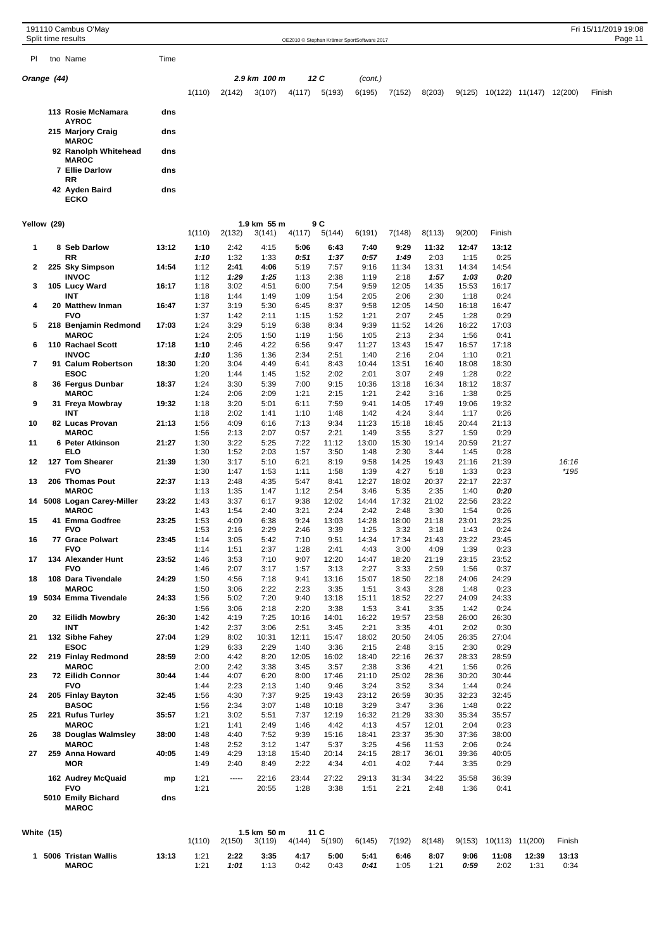OE2010 © Stephan Krämer SportSoftware 2017

|  | PI tho Name<br>___ |  |
|--|--------------------|--|
|--|--------------------|--|

Time

| Orange (44 |  |
|------------|--|
|------------|--|

| Orange (44) |                                      |     |        | 2.9 km 100 m |        |        | 12 C   | (cont.) |        |        |        |         |         |         |        |
|-------------|--------------------------------------|-----|--------|--------------|--------|--------|--------|---------|--------|--------|--------|---------|---------|---------|--------|
|             |                                      |     | 1(110) | 2(142)       | 3(107) | 4(117) | 5(193) | 6(195)  | 7(152) | 8(203) | 9(125) | 10(122) | 11(147) | 12(200) | Finish |
|             | 113 Rosie McNamara<br><b>AYROC</b>   | dns |        |              |        |        |        |         |        |        |        |         |         |         |        |
|             | 215 Marjory Craig<br><b>MAROC</b>    | dns |        |              |        |        |        |         |        |        |        |         |         |         |        |
|             | 92 Ranolph Whitehead<br><b>MAROC</b> | dns |        |              |        |        |        |         |        |        |        |         |         |         |        |
|             | 7 Ellie Darlow<br><b>RR</b>          | dns |        |              |        |        |        |         |        |        |        |         |         |         |        |
|             | 42 Ayden Baird<br><b>ECKO</b>        | dns |        |              |        |        |        |         |        |        |        |         |         |         |        |

## **Yellow (29) 1.9 km 55 m 9 C**

|            | 1 5006 Tristan Wallis<br><b>MAROC</b>   | 13:13 | 1:21<br>1:21 | 2:22<br>1:01  | 3:35<br>1.13          | 4:17<br>0.42  | 5:00<br>0.43   | 5:41<br>0:41  | 6:46<br>1.05  | 8:07<br>1.21   | 9:06<br>0:59  | 11:08<br>2.02          | 12:39<br>1:31 | 13:13<br>0.34 |
|------------|-----------------------------------------|-------|--------------|---------------|-----------------------|---------------|----------------|---------------|---------------|----------------|---------------|------------------------|---------------|---------------|
| White (15) |                                         |       | 1(110)       | 2(150)        | 1.5 km 50 m<br>3(119) | 4(144)        | 11 C<br>5(190) | 6(145)        | 7(192)        | 8(148)         |               | 9(153) 10(113) 11(200) |               | Finish        |
|            | 5010 Emily Bichard<br><b>MAROC</b>      | dns   |              |               |                       |               |                |               |               |                |               |                        |               |               |
|            | <b>FVO</b>                              |       | 1:21         |               | 20:55                 | 1:28          | 3:38           | 1:51          | 2:21          | 2:48           | 1:36          | 0:41                   |               |               |
|            | <b>MOR</b><br>162 Audrey McQuaid        | mp    | 1:49<br>1:21 | 2:40<br>----- | 8:49<br>22:16         | 2:22<br>23:44 | 4:34<br>27:22  | 4:01<br>29:13 | 4:02<br>31:34 | 7:44<br>34:22  | 3:35<br>35:58 | 0:29<br>36:39          |               |               |
| 27         | 259 Anna Howard                         | 40:05 | 1:49         | 4:29          | 13:18                 | 15:40         | 20:14          | 24:15         | 28:17         | 36:01          | 39:36         | 40:05                  |               |               |
|            | <b>MAROC</b>                            |       | 1:48         | 2:52          | 3:12                  | 1:47          | 5:37           | 3:25          | 4:56          | 11:53          | 2:06          | 0:24                   |               |               |
| 26         | <b>MAROC</b><br>38 Douglas Walmsley     | 38:00 | 1:21<br>1:48 | 1:41<br>4:40  | 2:49<br>7:52          | 1:46<br>9:39  | 4:42<br>15:16  | 4:13<br>18:41 | 4:57<br>23:37 | 12:01<br>35:30 | 2:04<br>37:36 | 0:23<br>38:00          |               |               |
| 25         | 221 Rufus Turley                        | 35:57 | 1:21         | 3:02          | 5:51                  | 7:37          | 12:19          | 16:32         | 21:29         | 33:30          | 35:34         | 35:57                  |               |               |
|            | <b>BASOC</b>                            |       | 1:56         | 2:34          | 3:07                  | 1:48          | 10:18          | 3:29          | 3:47          | 3:36           | 1:48          | 0:22                   |               |               |
| 24         | 205 Finlay Bayton                       | 32:45 | 1:56         | 4:30          | 7:37                  | 9:25          | 19:43          | 23:12         | 26:59         | 30:35          | 32:23         | 32:45                  |               |               |
| 23         | 72 Eilidh Connor<br><b>FVO</b>          | 30:44 | 1:44<br>1:44 | 4:07<br>2:23  | 6:20<br>2:13          | 8:00<br>1:40  | 17:46<br>9:46  | 21:10<br>3:24 | 25:02<br>3:52 | 28:36<br>3:34  | 30:20<br>1:44 | 30:44<br>0:24          |               |               |
|            | <b>MAROC</b>                            |       | 2:00         | 2:42          | 3:38                  | 3:45          | 3:57           | 2:38          | 3:36          | 4:21           | 1:56          | 0:26                   |               |               |
| 22         | 219 Finlay Redmond                      | 28:59 | 2:00         | 4:42          | 8:20                  | 12:05         | 16:02          | 18:40         | 22:16         | 26:37          | 28:33         | 28:59                  |               |               |
|            | <b>ESOC</b>                             |       | 1:29         | 6:33          | 2:29                  | 1:40          | 3:36           | 2:15          | 2:48          | 3:15           | 2:30          | 0:29                   |               |               |
| 21         | INT<br>132 Sibhe Fahey                  | 27:04 | 1:42<br>1:29 | 2:37<br>8:02  | 3:06<br>10:31         | 2:51<br>12:11 | 3:45<br>15:47  | 2:21<br>18:02 | 3:35<br>20:50 | 4:01<br>24:05  | 2:02<br>26:35 | 0:30<br>27:04          |               |               |
| 20         | 32 Eilidh Mowbry                        | 26:30 | 1:42         | 4:19          | 7:25                  | 10:16         | 14:01          | 16:22         | 19:57         | 23:58          | 26:00         | 26:30                  |               |               |
|            |                                         |       | 1:56         | 3:06          | 2:18                  | 2:20          | 3:38           | 1:53          | 3:41          | 3:35           | 1:42          | 0:24                   |               |               |
| 19         | <b>MAROC</b><br>5034 Emma Tivendale     | 24:33 | 1:50<br>1:56 | 3:06<br>5:02  | 2:22<br>7:20          | 2:23<br>9:40  | 3:35<br>13:18  | 1:51<br>15:11 | 3:43<br>18:52 | 3:28<br>22:27  | 1:48<br>24:09 | 0:23<br>24:33          |               |               |
| 18         | 108 Dara Tivendale                      | 24:29 | 1:50         | 4:56          | 7:18                  | 9:41          | 13:16          | 15:07         | 18:50         | 22:18          | 24:06         | 24:29                  |               |               |
|            | <b>FVO</b>                              |       | 1:46         | 2:07          | 3:17                  | 1:57          | 3:13           | 2:27          | 3:33          | 2:59           | 1:56          | 0:37                   |               |               |
| 17         | 134 Alexander Hunt                      | 23:52 | 1:46         | 3:53          | 7:10                  | 9:07          | 12:20          | 14:47         | 18:20         | 21:19          | 23:15         | 23:52                  |               |               |
| 16         | <b>77 Grace Polwart</b><br><b>FVO</b>   | 23:45 | 1:14<br>1:14 | 3:05<br>1:51  | 5:42<br>2:37          | 7:10<br>1:28  | 9:51<br>2:41   | 14:34<br>4:43 | 17:34<br>3:00 | 21:43<br>4:09  | 23:22<br>1:39 | 23:45<br>0:23          |               |               |
|            | <b>FVO</b>                              |       | 1:53         | 2:16          | 2:29                  | 2:46          | 3:39           | 1:25          | 3:32          | 3:18           | 1:43          | 0:24                   |               |               |
| 15         | 41 Emma Godfree                         | 23:25 | 1:53         | 4:09          | 6:38                  | 9:24          | 13:03          | 14:28         | 18:00         | 21:18          | 23:01         | 23:25                  |               |               |
|            | <b>MAROC</b>                            |       | 1:43         | 1:54          | 2:40                  | 3:21          | 2:24           | 2:42          | 2:48          | 3:30           | 1:54          | 0:26                   |               |               |
| 14         | <b>MAROC</b><br>5008 Logan Carey-Miller | 23:22 | 1:13<br>1:43 | 1:35<br>3:37  | 1:47<br>6:17          | 1:12<br>9:38  | 2:54<br>12:02  | 3:46<br>14:44 | 5:35<br>17:32 | 2:35<br>21:02  | 1:40<br>22:56 | 0:20<br>23:22          |               |               |
| 13         | 206 Thomas Pout                         | 22:37 | 1:13         | 2:48          | 4:35                  | 5:47          | 8:41           | 12:27         | 18:02         | 20:37          | 22:17         | 22:37                  |               |               |
|            | <b>FVO</b>                              |       | 1:30         | 1:47          | 1:53                  | 1:11          | 1:58           | 1:39          | 4:27          | 5:18           | 1:33          | 0:23                   |               | *195          |
| 12         | 127 Tom Shearer                         | 21:39 | 1:30         | 3:17          | 5:10                  | 6:21          | 8:19           | 9:58          | 14:25         | 19:43          | 21:16         | 21:39                  |               | 16:16         |
| 11         | 6 Peter Atkinson<br><b>ELO</b>          | 21:27 | 1:30<br>1:30 | 3:22<br>1:52  | 5:25<br>2:03          | 7:22<br>1:57  | 11:12<br>3:50  | 13:00<br>1:48 | 15:30<br>2:30 | 19:14<br>3:44  | 20:59<br>1:45 | 21:27<br>0:28          |               |               |
|            | <b>MAROC</b>                            |       | 1:56         | 2:13          | 2:07                  | 0:57          | 2:21           | 1:49          | 3:55          | 3:27           | 1:59          | 0:29                   |               |               |
| 10         | 82 Lucas Provan                         | 21:13 | 1:56         | 4:09          | 6:16                  | 7:13          | 9:34           | 11:23         | 15:18         | 18:45          | 20:44         | 21:13                  |               |               |
|            | 31 Freya Mowbray<br>INT                 | 19:32 | 1:18<br>1:18 | 3:20<br>2:02  | 5:01<br>1:41          | 6:11<br>1:10  | 7:59<br>1:48   | 9:41<br>1:42  | 14:05<br>4:24 | 17:49<br>3:44  | 19:06<br>1:17 | 19:32<br>0:26          |               |               |
| 9          | <b>MAROC</b>                            |       | 1:24         | 2:06          | 2:09                  | 1:21          | 2:15           | 1:21          | 2:42          | 3:16           | 1:38          | 0:25                   |               |               |
| 8          | 36 Fergus Dunbar                        | 18:37 | 1:24         | 3:30          | 5:39                  | 7:00          | 9:15           | 10:36         | 13:18         | 16:34          | 18:12         | 18:37                  |               |               |
|            | <b>ESOC</b>                             |       | 1:20         | 1:44          | 1:45                  | 1:52          | 2:02           | 2:01          | 3:07          | 2:49           | 1:28          | 0:22                   |               |               |
| 7          | <b>INVOC</b><br>91 Calum Robertson      | 18:30 | 1:10<br>1:20 | 1:36<br>3:04  | 1:36<br>4:49          | 2:34<br>6:41  | 2:51<br>8:43   | 1:40<br>10:44 | 2:16<br>13:51 | 2:04<br>16:40  | 1:10<br>18:08 | 0:21<br>18:30          |               |               |
| 6          | 110 Rachael Scott                       | 17:18 | 1:10         | 2:46          | 4:22                  | 6:56          | 9:47           | 11:27         | 13:43         | 15:47          | 16:57         | 17:18                  |               |               |
|            | <b>MAROC</b>                            |       | 1:24         | 2:05          | 1:50                  | 1:19          | 1:56           | 1:05          | 2:13          | 2:34           | 1:56          | 0:41                   |               |               |
| 5          | 218 Benjamin Redmond                    | 17:03 | 1:24         | 3:29          | 5:19                  | 6:38          | 8:34           | 9:39          | 11:52         | 14:26          | 16:22         | 17:03                  |               |               |
| 4          | 20 Matthew Inman<br><b>FVO</b>          | 16:47 | 1:37<br>1:37 | 3:19<br>1:42  | 5:30<br>2:11          | 6:45<br>1:15  | 8:37<br>1:52   | 9:58<br>1:21  | 12:05<br>2:07 | 14:50<br>2:45  | 16:18<br>1:28 | 16:47<br>0:29          |               |               |
|            | INT                                     |       | 1:18         | 1:44          | 1:49                  | 1:09          | 1:54           | 2:05          | 2:06          | 2:30           | 1:18          | 0:24                   |               |               |
| 3          | 105 Lucy Ward                           | 16:17 | 1:18         | 3:02          | 4:51                  | 6:00          | 7:54           | 9:59          | 12:05         | 14:35          | 15:53         | 16:17                  |               |               |
| 2          | 225 Sky Simpson<br><b>INVOC</b>         | 14:54 | 1:12<br>1:12 | 2:41<br>1:29  | 4:06<br>1:25          | 5:19<br>1:13  | 7:57<br>2:38   | 9:16<br>1:19  | 11:34<br>2:18 | 13:31<br>1:57  | 14:34<br>1:03 | 14:54<br>0:20          |               |               |
|            | RR                                      |       | 1:10         | 1:32          | 1:33                  | 0:51          | 1:37           | 0:57          | 1:49          | 2:03           | 1:15          | 0:25                   |               |               |
| 1          | 8 Seb Darlow                            | 13:12 | 1:10         | 2:42          | 4:15                  | 5:06          | 6:43           | 7:40          | 9:29          | 11:32          | 12:47         | 13:12                  |               |               |
|            |                                         |       | 1(110)       | 2(132)        | 3(141)                | 4(117)        | 5(144)         | 6(191)        | 7(148)        | 8(113)         | 9(200)        | Finish                 |               |               |

**1 5006 Tristan Wallis 13:13** 1:21 **2:22 3:35 4:17 5:00 5:41 6:46 8:07 9:06 11:08 12:39 13:13**

**11:08 12:39**<br>2:02 1:31